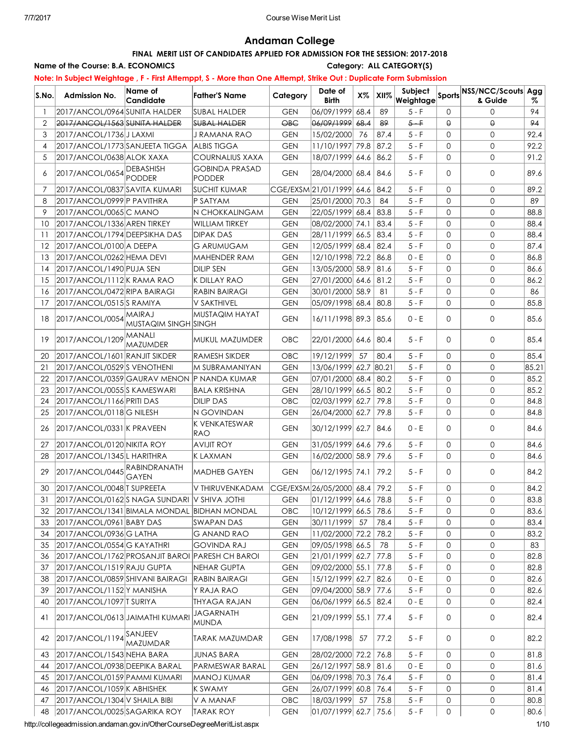## Andaman College

## FINAL MERIT LIST OF CANDIDATES APPLIED FOR ADMISSION FOR THE SESSION: 2017-2018

### Name of the Course: B.A. ECONOMICS Category: ALL CATEGORY(S)

## Note: In Subject Weightage , F - First Attemppt, S - More than One Attempt, Strike Out : Duplicate Form Submission

| S.No.          | <b>Admission No.</b>                            | Name of<br>Candidate | <b>Father'S Name</b>            | Category            | Date of<br><b>Birth</b>    | X%   | XII%  | Subject<br>Weightage |              | Sports NSS/NCC/Scouts Agg<br>& Guide | %     |
|----------------|-------------------------------------------------|----------------------|---------------------------------|---------------------|----------------------------|------|-------|----------------------|--------------|--------------------------------------|-------|
|                | 2017/ANCOL/0964 SUNITA HALDER                   |                      | SUBAL HALDER                    | <b>GEN</b>          | 06/09/1999                 | 68.4 | 89    | 5 - F                | $\Omega$     | 0                                    | 94    |
| $\overline{2}$ | 2017/ANCOL/1563 SUNITA HALDER                   |                      | <b>SUBAL HALDER</b>             | $\Theta$ B $\Theta$ | $ 06/09/1999 $ $68.4$      |      | 89    | $5 - F$              | $\Theta$     | $\Theta$                             | 94    |
| 3              | 2017/ANCOL/1736 J LAXMI                         |                      | J RAMANA RAO                    | <b>GEN</b>          | 15/02/2000                 | 76   | 87.4  | $5 - F$              | $\Omega$     | $\mathbf{0}$                         | 92.4  |
| 4              | 2017/ANCOL/1773 SANJEETA TIGGA                  |                      | <b>ALBIS TIGGA</b>              | <b>GEN</b>          | 11/10/1997 79.8            |      | 87.2  | $5 - F$              | $\Omega$     | $\mathbf{0}$                         | 92.2  |
| 5              | 2017/ANCOL/0638 ALOK XAXA                       |                      | <b>COURNALIUS XAXA</b>          | <b>GEN</b>          | 18/07/1999 64.6            |      | 86.2  | $5 - F$              | $\mathbf 0$  | $\mathbf 0$                          | 91.2  |
| 6              | 2017/ANCOL/0654 DEBASHISH                       | <b>PODDER</b>        | <b>GOBINDA PRASAD</b><br>PODDER | <b>GEN</b>          | 28/04/2000 68.4            |      | 84.6  | $5 - F$              | 0            | $\mathsf{O}$                         | 89.6  |
| 7              | 2017/ANCOL/0837 SAVITA KUMARI                   |                      | <b>SUCHIT KUMAR</b>             |                     | CGE/EXSM 21/01/1999 64.6   |      | 84.2  | $5 - F$              | $\Omega$     | $\mathbf{0}$                         | 89.2  |
| 8              | 2017/ANCOL/0999 P PAVITHRA                      |                      | P SATYAM                        | <b>GEN</b>          | 25/01/2000 70.3            |      | 84    | $5 - F$              | $\Omega$     | $\mathsf{O}$                         | 89    |
| 9              | 2017/ANCOL/0065 C MANO                          |                      | <b>N CHOKKALINGAM</b>           | <b>GEN</b>          | $ 22/05/1999 $ 68.4        |      | 83.8  | $5 - F$              | $\mathbf{0}$ | $\mathsf O$                          | 88.8  |
| 10             | 2017/ANCOL/1336 AREN TIRKEY                     |                      | <b>WILLIAM TIRKEY</b>           | <b>GEN</b>          | 08/02/2000 74.1            |      | 83.4  | $5 - F$              | $\Omega$     | $\mathbf{0}$                         | 88.4  |
| 11             | 2017/ANCOL/1794 DEEPSIKHA DAS                   |                      | <b>DIPAK DAS</b>                | <b>GEN</b>          | 28/11/1999  66.5   83.4    |      |       | $5 - F$              | $\Omega$     | $\mathbf{0}$                         | 88.4  |
| 12             | 2017/ANCOL/0100 A DEEPA                         |                      | <b>G ARUMUGAM</b>               | <b>GEN</b>          | 12/05/1999 68.4            |      | 82.4  | $5 - F$              | $\Omega$     | $\mathbf{0}$                         | 87.4  |
| 13             | 2017/ANCOL/0262 HEMA DEVI                       |                      | MAHENDER RAM                    | <b>GEN</b>          | 12/10/1998 72.2 86.8       |      |       | $0 - E$              | $\Omega$     | $\mathbf{0}$                         | 86.8  |
| 14             | 2017/ANCOL/1490 PUJA SEN                        |                      | <b>DILIP SEN</b>                | <b>GEN</b>          | 13/05/2000 58.9            |      | 81.6  | $5 - F$              | $\Omega$     | $\mathbf{0}$                         | 86.6  |
| 15             | 2017/ANCOL/1112 K RAMA RAO                      |                      | <b>K DILLAY RAO</b>             | <b>GEN</b>          | 27/01/2000 64.6            |      | 81.2  | $5 - F$              | $\Omega$     | $\mathbf{0}$                         | 86.2  |
| 16             | 2017/ANCOL/0472 RIPA BAIRAGI                    |                      | <b>RABIN BAIRAGI</b>            | <b>GEN</b>          | 30/01/2000 58.9            |      | 81    | $5 - F$              | $\mathbf 0$  | $\mathbf{0}$                         | 86    |
| 17             | 2017/ANCOL/0515 SRAMIYA                         |                      | V SAKTHIVEL                     | <b>GEN</b>          | $ 05/09/1998 $ 68.4        |      | 80.8  | $5 - F$              | $\Omega$     | $\mathbf{0}$                         | 85.8  |
| 18             | 2017/ANCOL/0054 MAIRAJ                          | MUSTAQIM SINGH SINGH | MUSTAQIM HAYAT                  | <b>GEN</b>          | 16/11/1998 89.3 85.6       |      |       | $0 - E$              | $\Omega$     | $\mathsf{O}$                         | 85.6  |
| 19             | 2017/ANCOL/1209                                 | MANALI<br>MAZUMDER   | MUKUL MAZUMDER                  | <b>OBC</b>          | 22/01/2000 64.6 80.4       |      |       | $5 - F$              | $\Omega$     | $\mathbf 0$                          | 85.4  |
| 20             | 2017/ANCOL/1601 RANJIT SIKDER                   |                      | <b>RAMESH SIKDER</b>            | OBC                 | 19/12/1999                 | 57   | 80.4  | $5 - F$              | $\mathbf{0}$ | $\mathbf{0}$                         | 85.4  |
| 21             | 2017/ANCOL/0529 S VENOTHENI                     |                      | IM SUBRAMANIYAN                 | <b>GEN</b>          | 13/06/1999 62.7            |      | 80.21 | $5 - F$              | $\mathbf 0$  | $\mathbf{0}$                         | 85.21 |
| 22             | 2017/ANCOL/0359 GAURAV MENON P NANDA KUMAR      |                      |                                 | <b>GEN</b>          | 07/01/2000 68.4            |      | 80.2  | $5 - F$              | $\mathbf 0$  | $\mathbf{0}$                         | 85.2  |
| 23             | 2017/ANCOL/0055 SKAMESWARI                      |                      | <b>BALA KRISHNA</b>             | <b>GEN</b>          | 28/10/1999 66.5            |      | 80.2  | $5 - F$              | $\mathbf 0$  | $\mathbf{0}$                         | 85.2  |
| 24             | 2017/ANCOL/1166 PRITI DAS                       |                      | <b>DILIP DAS</b>                | OBC                 | 02/03/1999 62.7            |      | 79.8  | $5 - F$              | $\mathbf 0$  | $\mathbf{0}$                         | 84.8  |
| 25             | 2017/ANCOL/0118G NILESH                         |                      | N GOVINDAN                      | <b>GEN</b>          | 26/04/2000 62.7            |      | 79.8  | $5 - F$              | $\mathbf 0$  | $\mathbf{0}$                         | 84.8  |
| 26             | 2017/ANCOL/0331 K PRAVEEN                       |                      | K VENKATESWAR<br><b>RAO</b>     | <b>GEN</b>          | 30/12/1999 62.7            |      | 84.6  | $0 - E$              | $\Omega$     | $\mathsf{O}$                         | 84.6  |
| 27             | 2017/ANCOL/0120 NIKITA ROY                      |                      | <b>AVIJIT ROY</b>               | <b>GEN</b>          | 31/05/1999 64.6            |      | 79.6  | 5 - F                | $\mathbf 0$  | $\mathbf{0}$                         | 84.6  |
| 28             | 2017/ANCOL/1345L HARITHRA                       |                      | <b>KLAXMAN</b>                  | <b>GEN</b>          | 16/02/2000 58.9            |      | 79.6  | $5 - F$              | $\mathbf 0$  | $\mathbf{0}$                         | 84.6  |
| 29             | 2017/ANCOL/0445 RABINDRANATH                    | GAYEN                | MADHEB GAYEN                    | <b>GEN</b>          | 06/12/1995 74.1            |      | 79.2  | $5 - F$              | 0            | $\mathbf{0}$                         | 84.2  |
| 30             | 2017/ANCOL/0048 T SUPREETA                      |                      | V THIRUVENKADAM                 |                     | CGE/EXSM 26/05/2000 68.4   |      | 79.2  | $5 - F$              | $\mathbf 0$  | $\mathbf{0}$                         | 84.2  |
| 31             | 2017/ANCOL/0162S NAGA SUNDARI V SHIVA JOTHI     |                      |                                 | <b>GEN</b>          | $ 01/12/1999 $ 64.6        |      | 78.8  | $5 - F$              | $\Omega$     | $\Omega$                             | 83.8  |
| 32             | 2017/ANCOL/1341 BIMALA MONDAL BIDHAN MONDAL     |                      |                                 | OBC                 | 10/12/1999 66.5            |      | 78.6  | $5 - F$              | 0            | 0                                    | 83.6  |
| 33             | 2017/ANCOL/0961 BABY DAS                        |                      | SWAPAN DAS                      | <b>GEN</b>          | 30/11/1999                 | 57   | 78.4  | $5 - F$              | 0            | 0                                    | 83.4  |
| 34             | 2017/ANCOL/0936 G LATHA                         |                      | <b>G ANAND RAO</b>              | <b>GEN</b>          | 11/02/2000 72.2            |      | 78.2  | $5 - F$              | 0            | $\mathsf O$                          | 83.2  |
| 35             | 2017/ANCOL/0554 G KAYATHRI                      |                      | <b>GOVINDA RAJ</b>              | <b>GEN</b>          | 09/05/1998 66.5            |      | 78    | $5 - F$              | 0            | $\mathsf O$                          | 83    |
| 36             | 2017/ANCOL/1762 PROSANJIT BAROI PARESH CH BAROI |                      |                                 | <b>GEN</b>          | 21/01/1999 62.7            |      | 77.8  | $5 - F$              | 0            | $\mathsf{O}$                         | 82.8  |
| 37             | 2017/ANCOL/1519 RAJU GUPTA                      |                      | NEHAR GUPTA                     | <b>GEN</b>          | 09/02/2000 55.1            |      | 77.8  | $5 - F$              | 0            | $\mathsf{O}$                         | 82.8  |
| 38             | 2017/ANCOL/0859 SHIVANI BAIRAGI                 |                      | <b>RABIN BAIRAGI</b>            | <b>GEN</b>          | 15/12/1999 62.7            |      | 82.6  | $0 - E$              | 0            | 0                                    | 82.6  |
| 39             | 2017/ANCOL/1152 Y MANISHA                       |                      | Y RAJA RAO                      | <b>GEN</b>          | 09/04/2000 58.9            |      | 77.6  | $5 - F$              | 0            | 0                                    | 82.6  |
| 40             | 2017/ANCOL/1097 T SURIYA                        |                      | <b>THYAGA RAJAN</b>             | <b>GEN</b>          | 06/06/1999  66.5  82.4     |      |       | $0 - E$              | 0            | $\mathsf{O}$                         | 82.4  |
| 41             | 2017/ANCOL/0613 JAIMATHI KUMARI                 |                      | <b>JAGARNATH</b><br>MUNDA       | <b>GEN</b>          | 21/09/1999 55.1            |      | 77.4  | 5 - F                | 0            | $\mathsf{O}$                         | 82.4  |
| 42             | 2017/ANCOL/1194 SANJEEV                         | MAZUMDAR             | <b>TARAK MAZUMDAR</b>           | <b>GEN</b>          | 17/08/1998                 | 57   | 77.2  | $5 - F$              | $\mathbf 0$  | $\mathsf O$                          | 82.2  |
| 43             | 2017/ANCOL/1543 NEHA BARA                       |                      | <b>JUNAS BARA</b>               | <b>GEN</b>          | 28/02/2000 72.2            |      | 76.8  | $5 - F$              | $\mathbf 0$  | $\mathsf{O}$                         | 81.8  |
| 44             | 2017/ANCOL/0938 DEEPIKA BARAL                   |                      | PARMESWAR BARAL                 | <b>GEN</b>          | 26/12/1997  58.9   81.6    |      |       | $0 - E$              | $\mathbf 0$  | $\mathsf{O}$                         | 81.6  |
| 45             | 2017/ANCOL/0159 PAMMI KUMARI                    |                      | MANOJ KUMAR                     | <b>GEN</b>          | 06/09/1998 70.3            |      | 76.4  | $5 - F$              | 0            | $\mathsf O$                          | 81.4  |
| 46             | 2017/ANCOL/1059 K ABHISHEK                      |                      | K SWAMY                         | <b>GEN</b>          | 26/07/1999 60.8            |      | 76.4  | $5 - F$              | 0            | $\mathsf{O}$                         | 81.4  |
| 47             | 2017/ANCOL/1304 V SHAILA BIBI                   |                      | V A MANAF                       | OBC                 | 18/03/1999                 | 57   | 75.8  | $5 - F$              | 0            | $\mathsf O$                          | 80.8  |
| 48             | 2017/ANCOL/0025 SAGARIKA ROY                    |                      | TARAK ROY                       | <b>GEN</b>          | $ 01/07/1999 $ 62.7   75.6 |      |       | $5 - F$              | 0            | $\mathsf O$                          | 80.6  |

http://collegeadmission.andaman.gov.in/OtherCourseDegreeMeritList.aspx 1/10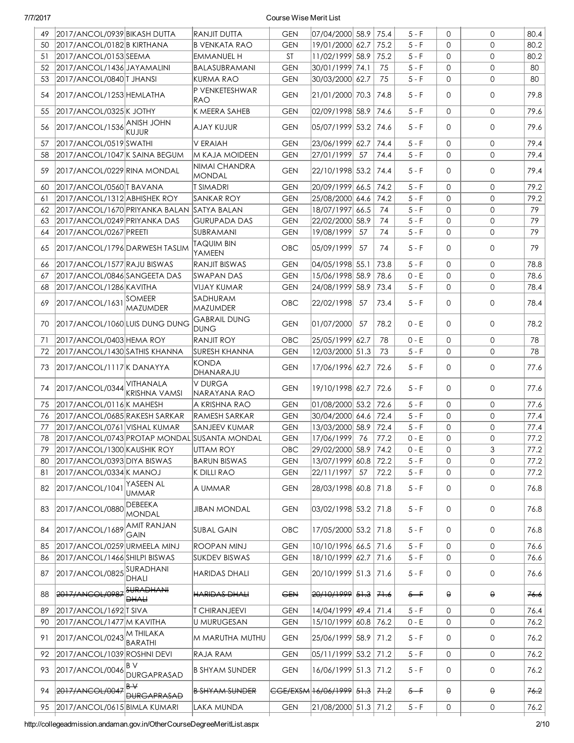| 49 | 2017/ANCOL/0939 BIKASH DUTTA               |                                   | RANJIT DUTTA                                 | <b>GEN</b> | 07/04/2000 58.9               |      | 75.4 | $5 - F$ | $\Omega$     | 0            | 80.4 |
|----|--------------------------------------------|-----------------------------------|----------------------------------------------|------------|-------------------------------|------|------|---------|--------------|--------------|------|
| 50 | 2017/ANCOL/0182 B KIRTHANA                 |                                   | <b>B VENKATA RAO</b>                         | <b>GEN</b> | 19/01/2000 62.7               |      | 75.2 | $5 - F$ | $\Omega$     | $\Omega$     | 80.2 |
| 51 | 2017/ANCOL/0153 SEEMA                      |                                   | <b>EMMANUEL H</b>                            | <b>ST</b>  | 11/02/1999 58.9               |      | 75.2 | $5 - F$ | $\mathbf 0$  | 0            | 80.2 |
| 52 | 2017/ANCOL/1436 JAYAMALINI                 |                                   | BALASUBRAMANI                                | <b>GEN</b> | 30/01/1999 74.1               |      | 75   | $5 - F$ | $\mathbf{0}$ | $\mathsf{O}$ | 80   |
| 53 | 2017/ANCOL/0840 T JHANSI                   |                                   | KURMA RAO                                    | <b>GEN</b> | 30/03/2000 62.7               |      | 75   | $5 - F$ | $\mathbf{0}$ | 0            | 80   |
| 54 | 2017/ANCOL/1253 HEMLATHA                   |                                   | P VENKETESHWAR<br><b>RAO</b>                 | <b>GEN</b> | 21/01/2000 70.3               |      | 74.8 | $5 - F$ | $\mathbf{0}$ | 0            | 79.8 |
| 55 | 2017/ANCOL/0325 K JOTHY                    |                                   | K MEERA SAHEB                                | <b>GEN</b> | 02/09/1998 58.9               |      | 74.6 | $5 - F$ | $\mathbf{0}$ | $\circ$      | 79.6 |
| 56 | $2017/ANCOL/1536$ ANISH JOHN               | KUJUR                             | AJAY KUJUR                                   | <b>GEN</b> | 05/07/1999 53.2               |      | 74.6 | $5 - F$ | $\mathbf{0}$ | 0            | 79.6 |
| 57 | 2017/ANCOL/0519 SWATHI                     |                                   | <b>V ERAIAH</b>                              | <b>GEN</b> | 23/06/1999 62.7               |      | 74.4 | $5 - F$ | $\mathbf{0}$ | $\circ$      | 79.4 |
| 58 | 2017/ANCOL/1047 K SAINA BEGUM              |                                   | M KAJA MOIDEEN                               | <b>GEN</b> | 27/01/1999                    | 57   | 74.4 | $5 - F$ | $\Omega$     | $\circ$      | 79.4 |
| 59 | 2017/ANCOL/0229 RINA MONDAL                |                                   | NIMAI CHANDRA<br><b>MONDAL</b>               | <b>GEN</b> | 22/10/1998 53.2               |      | 74.4 | $5 - F$ | $\Omega$     | 0            | 79.4 |
| 60 | 2017/ANCOL/0560 T BAVANA                   |                                   | <b>T SIMADRI</b>                             | <b>GEN</b> | 20/09/1999 66.5               |      | 74.2 | $5 - F$ | $\mathbf{0}$ | $\mathsf{O}$ | 79.2 |
| 61 | 2017/ANCOL/1312 ABHISHEK ROY               |                                   | <b>SANKAR ROY</b>                            | <b>GEN</b> | 25/08/2000 64.6               |      | 74.2 | $5 - F$ | $\Omega$     | 0            | 79.2 |
| 62 | 2017/ANCOL/1670 PRIYANKA BALAN SATYA BALAN |                                   |                                              | <b>GEN</b> | 18/07/1997 66.5               |      | 74   | $5 - F$ | $\mathbf{0}$ | 0            | 79   |
| 63 | 2017/ANCOL/0249 PRIYANKA DAS               |                                   | <b>GURUPADA DAS</b>                          | <b>GEN</b> | 22/02/2000 58.9               |      | 74   | $5 - F$ | $\mathbf{0}$ | 0            | 79   |
| 64 | 2017/ANCOL/0267 PREETI                     |                                   | SUBRAMANI                                    | <b>GEN</b> | 19/08/1999                    | 57   | 74   | $5 - F$ | $\mathbf{0}$ | $\circ$      | 79   |
|    |                                            |                                   | TAQUIM BIN                                   |            |                               |      |      |         |              |              |      |
| 65 | 2017/ANCOL/1796 DARWESH TASLIM             |                                   | YAMEEN                                       | OBC        | 05/09/1999                    | 57   | 74   | $5 - F$ | $\Omega$     | 0            | 79   |
| 66 | 2017/ANCOL/1577 RAJU BISWAS                |                                   | RANJIT BISWAS                                | <b>GEN</b> | 04/05/1998 55.1               |      | 73.8 | $5 - F$ | $\mathbf{0}$ | $\circ$      | 78.8 |
| 67 | 2017/ANCOL/0846 SANGEETA DAS               |                                   | <b>SWAPAN DAS</b>                            | <b>GEN</b> | 15/06/1998 58.9               |      | 78.6 | $0 - E$ | $\mathbf{0}$ | $\circ$      | 78.6 |
| 68 | 2017/ANCOL/1286 KAVITHA                    |                                   | <b>VIJAY KUMAR</b>                           | <b>GEN</b> | 24/08/1999                    | 58.9 | 73.4 | $5 - F$ | $\mathbf{0}$ | $\circ$      | 78.4 |
| 69 | 2017/ANCOL/1631 SOMEER                     | <b>MAZUMDER</b>                   | SADHURAM<br><b>MAZUMDER</b>                  | OBC        | 22/02/1998                    | 57   | 73.4 | 5 - F   | $\mathbf 0$  | 0            | 78.4 |
| 70 | 2017/ANCOL/1060 LUIS DUNG DUNG             |                                   | <b>GABRAIL DUNG</b><br><b>DUNG</b>           | <b>GEN</b> | 01/07/2000                    | 57   | 78.2 | $0 - E$ | $\Omega$     | $\mathsf{O}$ | 78.2 |
| 71 | 2017/ANCOL/0403 HEMA ROY                   |                                   | RANJIT ROY                                   | OBC        | 25/05/1999 62.7               |      | 78   | $0 - E$ | $\mathbf{0}$ | $\circ$      | 78   |
| 72 | 2017/ANCOL/1430 SATHIS KHANNA              |                                   | <b>SURESH KHANNA</b>                         | <b>GEN</b> | 12/03/2000 51.3               |      | 73   | $5 - F$ | $\mathbf{0}$ | $\circ$      | 78   |
| 73 | 2017/ANCOL/1117 KDANAYYA                   |                                   | <b>KONDA</b><br>DHANARAJU                    | <b>GEN</b> | 17/06/1996 62.7               |      | 72.6 | $5 - F$ | $\mathbf{0}$ | 0            | 77.6 |
| 74 | 2017/ANCOL/0344 VITHANALA                  | <b>KRISHNA VAMSI</b>              | <b>V DURGA</b><br>INARAYANA RAO              | <b>GEN</b> | 19/10/1998 62.7               |      | 72.6 | $5 - F$ | $\Omega$     | $\mathsf{O}$ | 77.6 |
| 75 | 2017/ANCOL/0116 K MAHESH                   |                                   | A KRISHNA RAO                                | <b>GEN</b> | 01/08/2000 53.2               |      | 72.6 | $5 - F$ | $\Omega$     | $\mathsf{O}$ | 77.6 |
| 76 | 2017/ANCOL/0685 RAKESH SARKAR              |                                   | RAMESH SARKAR                                | <b>GEN</b> | 30/04/2000 64.6               |      | 72.4 | $5 - F$ | $\mathbf{0}$ | $\mathsf{O}$ | 77.4 |
| 77 | 2017/ANCOL/0761 VISHAL KUMAR               |                                   | SANJEEV KUMAR                                | <b>GEN</b> | 13/03/2000 58.9               |      | 72.4 | $5 - F$ | $\mathbf{0}$ | $\mathbf{O}$ | 77.4 |
| 78 |                                            |                                   | 2017/ANCOL/0743 PROTAP MONDAL SUSANTA MONDAL | <b>GEN</b> | 17/06/1999 76                 |      | 77.2 | $0 - E$ | $\Omega$     | $\mathsf{O}$ | 77.2 |
| 79 | 2017/ANCOL/1300 KAUSHIK ROY                |                                   | UTTAM ROY                                    | OBC        | 29/02/2000 58.9               |      | 74.2 | $0 - E$ | 0            | 3            | 77.2 |
| 80 | 2017/ANCOL/0393 DIYA BISWAS                |                                   | <b>BARUN BISWAS</b>                          | <b>GEN</b> | 13/07/1999 60.8               |      | 72.2 | $5 - F$ | $\mathbf{0}$ | 0            | 77.2 |
| 81 | 2017/ANCOL/0334 K MANOJ                    |                                   | K DILLI RAO                                  | <b>GEN</b> | 22/11/1997                    | 57   | 72.2 | $5 - F$ | 0            | 0            | 77.2 |
| 82 | 2017/ANCOL/1041                            | YASEEN AL<br>UMMAR                | A UMMAR                                      | <b>GEN</b> | 28/03/1998 60.8               |      | 71.8 | $5 - F$ | 0            | 0            | 76.8 |
| 83 | 2017/ANCOL/0880DEBEEKA                     | MONDAL                            | <b>JIBAN MONDAL</b>                          | <b>GEN</b> | 03/02/1998 53.2 71.8          |      |      | $5 - F$ | 0            | $\circ$      | 76.8 |
| 84 | 2017/ANCOL/1689                            | <b>AMIT RANJAN</b><br><b>GAIN</b> | <b>SUBAL GAIN</b>                            | OBC        | 17/05/2000 53.2 71.8          |      |      | $5 - F$ | $\mathbf{0}$ | 0            | 76.8 |
| 85 | 2017/ANCOL/0259 URMEELA MINJ               |                                   | ROOPAN MINJ                                  | <b>GEN</b> | 10/10/1996 66.5               |      | 71.6 | $5 - F$ | $\mathbf{0}$ | 0            | 76.6 |
| 86 | 2017/ANCOL/1466 SHILPI BISWAS              |                                   | <b>SUKDEV BISWAS</b>                         | <b>GEN</b> | 18/10/1999 62.7               |      | 71.6 | $5 - F$ | 0            | 0            | 76.6 |
| 87 | 2017/ANCOL/0825                            | SURADHANI<br>DHALI                | HARIDAS DHALI                                | <b>GEN</b> | 20/10/1999  51.3   71.6       |      |      | 5 - F   | 0            | 0            | 76.6 |
| 88 | 2017/ANCOL/0987                            | <b>SURADHANI</b><br><b>DHALI</b>  | <b>HARIDAS DHALI</b>                         | <b>GEN</b> | 20/10/1999 51.3 71.6          |      |      | $5 - F$ | $\Theta$     | θ            | 76.6 |
| 89 | 2017/ANCOL/1692 T SIVA                     |                                   | <b>T CHIRANJEEVI</b>                         | <b>GEN</b> | 14/04/1999 49.4               |      | 71.4 | $5 - F$ | $\mathbf{0}$ | 0            | 76.4 |
| 90 | 2017/ANCOL/1477 M KAVITHA                  |                                   | <b>U MURUGESAN</b>                           | <b>GEN</b> | 15/10/1999 60.8 76.2          |      |      | $0 - E$ | 0            | 0            | 76.2 |
| 91 | 2017/ANCOL/0243                            | M THILAKA<br>BARATHI              | M MARUTHA MUTHU                              | <b>GEN</b> | 25/06/1999 58.9 71.2          |      |      | 5 - F   | 0            | 0            | 76.2 |
| 92 | 2017/ANCOL/1039 ROSHNI DEVI                |                                   | RAJA RAM                                     | <b>GEN</b> | 05/11/1999 53.2 71.2          |      |      | $5 - F$ | 0            | 0            | 76.2 |
| 93 | 2017/ANCOL/0046                            | B V<br><b>DURGAPRASAD</b>         | <b>B SHYAM SUNDER</b>                        | <b>GEN</b> | 16/06/1999 51.3               |      | 71.2 | $5 - F$ | 0            | 0            | 76.2 |
| 94 | 2017/ANCOL/0047                            | Β₩<br><b>DURGAPRASAD</b>          | <b>B SHYAM SUNDER</b>                        |            | CGE/EXSM 16/06/1999 51.3 71.2 |      |      | $5 - F$ | θ            | θ            | 76.2 |
| 95 | 2017/ANCOL/0615 BIMLA KUMARI               |                                   | LAKA MUNDA                                   | <b>GEN</b> | 21/08/2000 51.3 71.2          |      |      | $5 - F$ | 0            | 0            | 76.2 |

http://collegeadmission.andaman.gov.in/OtherCourseDegreeMeritList.aspx 2/10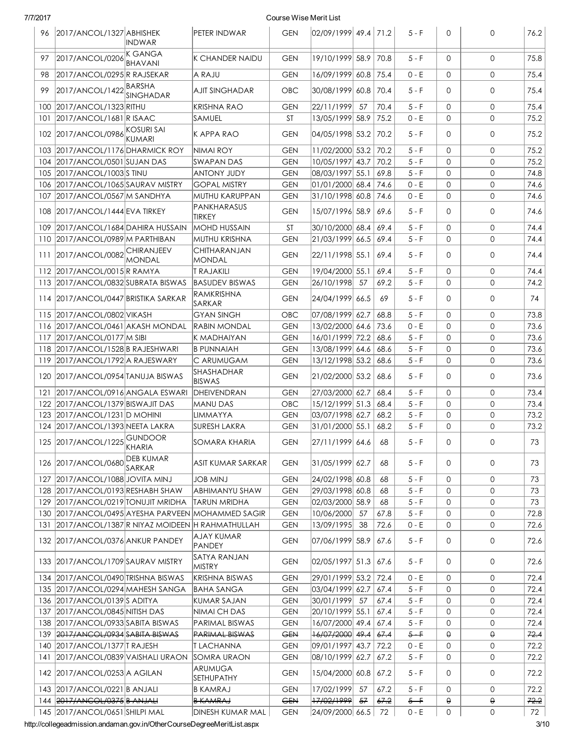|     | 96 2017/ANCOL/1327 ABHISHEK                    | <b>INDWAR</b>                     | PETER INDWAR                                      | <b>GEN</b> | $ 02/09/1999 $ 49.4   71.2                      |    |      | $5 - F$ | $\Omega$    | $\mathbf{0}$        | 76.2 |
|-----|------------------------------------------------|-----------------------------------|---------------------------------------------------|------------|-------------------------------------------------|----|------|---------|-------------|---------------------|------|
| 97  | 2017/ANCOL/0206                                | K GANGA<br>BHAVANI                | K CHANDER NAIDU                                   | <b>GEN</b> | 19/10/1999 58.9                                 |    | 70.8 | $5 - F$ | $\Omega$    | $\mathbf{O}$        | 75.8 |
| 98  | 2017/ANCOL/0295 R RAJSEKAR                     |                                   | A RAJU                                            | <b>GEN</b> | 16/09/1999 60.8                                 |    | 75.4 | $0 - E$ | $\Omega$    | $\mathbf{O}$        | 75.4 |
| 99  | 2017/ANCOL/1422 BARSHA                         | <b>SINGHADAR</b>                  | AJIT SINGHADAR                                    | OBC        | 30/08/1999 60.8                                 |    | 70.4 | $5 - F$ | $\Omega$    | $\mathbf{O}$        | 75.4 |
| 100 | 2017/ANCOL/1323 RITHU                          |                                   | <b>KRISHNA RAO</b>                                | <b>GEN</b> | 22/11/1999                                      | 57 | 70.4 | $5 - F$ | $\Omega$    | $\mathbf{O}$        | 75.4 |
|     | 101 2017/ANCOL/1681 R ISAAC                    |                                   | SAMUEL                                            | <b>ST</b>  | 13/05/1999 58.9                                 |    | 75.2 | 0 - E   | $\Omega$    | $\mathbf{O}$        | 75.2 |
|     | 102 2017/ANCOL/0986 KOSURI SAI                 | KUMARI                            | K APPA RAO                                        | <b>GEN</b> | 04/05/1998 53.2                                 |    | 70.2 | $5 - F$ | $\Omega$    | $\mathbf{0}$        | 75.2 |
|     | 103 2017/ANCOL/1176 DHARMICK ROY               |                                   | NIMAI ROY                                         | <b>GEN</b> | 11/02/2000 53.2                                 |    | 70.2 | $5-F$   | $\Omega$    | $\mathbf 0$         | 75.2 |
|     | 104 2017/ANCOL/0501 SUJAN DAS                  |                                   | SWAPAN DAS                                        | <b>GEN</b> | 10/05/1997 43.7                                 |    | 70.2 | $5 - F$ | $\Omega$    | $\mathbf{O}$        | 75.2 |
|     | 105 2017/ANCOL/1003 STINU                      |                                   | <b>ANTONY JUDY</b>                                | <b>GEN</b> | 08/03/1997 55.1                                 |    | 69.8 | $5 - F$ | $\Omega$    | $\mathbf{O}$        | 74.8 |
| 106 | 2017/ANCOL/1065 SAURAV MISTRY                  |                                   | <b>GOPAL MISTRY</b>                               | <b>GEN</b> | $ 01/01/2000 $ 68.4                             |    | 74.6 | $0 - E$ | $\Omega$    | $\mathbf{O}$        | 74.6 |
| 107 | 2017/ANCOL/0567 M SANDHYA                      |                                   | MUTHU KARUPPAN                                    | <b>GEN</b> | 31/10/1998  60.8                                |    | 74.6 | $0 - E$ | 0           | $\mathbf 0$         | 74.6 |
|     | 108 2017/ANCOL/1444 EVA TIRKEY                 |                                   | PANKHARASUS<br><b>TIRKEY</b>                      | <b>GEN</b> | 15/07/1996 58.9                                 |    | 69.6 | $5 - F$ | $\Omega$    | $\mathbf{O}$        | 74.6 |
| 109 | 2017/ANCOL/1684 DAHIRA HUSSAIN                 |                                   | <b>MOHD HUSSAIN</b>                               | <b>ST</b>  | 30/10/2000 68.4                                 |    | 69.4 | $5 - F$ | $\mathbf 0$ | $\mathbf{0}$        | 74.4 |
|     | 110 2017/ANCOL/0989 M PARTHIBAN                |                                   | MUTHU KRISHNA                                     | <b>GEN</b> | 21/03/1999 66.5                                 |    | 69.4 | $5 - F$ | $\Omega$    | 0                   | 74.4 |
|     | 111 2017/ANCOL/0082                            | <b>CHIRANJEEV</b><br>MONDAL       | CHITHARANJAN<br><b>MONDAL</b>                     | <b>GEN</b> | 22/11/1998 55.1                                 |    | 69.4 | $5 - F$ | $\Omega$    | $\mathbf{O}$        | 74.4 |
|     | 112 2017/ANCOL/0015 R RAMYA                    |                                   | <b>T RAJAKILI</b>                                 | <b>GEN</b> | 19/04/2000 55.1                                 |    | 69.4 | $5 - F$ | $\mathbf 0$ | $\mathbf{O}$        | 74.4 |
|     | 113 2017/ANCOL/0832 SUBRATA BISWAS             |                                   | <b>BASUDEV BISWAS</b>                             | <b>GEN</b> | 26/10/1998                                      | 57 | 69.2 | $5 - F$ | $\Omega$    | $\mathbf{O}$        | 74.2 |
|     | 114 2017/ANCOL/0447 BRISTIKA SARKAR            |                                   | RAMKRISHNA<br>SARKAR                              | <b>GEN</b> | 24/04/1999 66.5                                 |    | 69   | $5 - F$ | $\Omega$    | $\mathbf 0$         | 74   |
|     | 115 2017/ANCOL/0802 VIKASH                     |                                   | GYAN SINGH                                        | OBC        | 07/08/1999 62.7                                 |    | 68.8 | $5 - F$ | $\mathbf 0$ | $\mathbf 0$         | 73.8 |
| 116 | 2017/ANCOL/0461 AKASH MONDAL                   |                                   | RABIN MONDAL                                      | <b>GEN</b> | 13/02/2000 64.6                                 |    | 73.6 | $0 - E$ | $\Omega$    | $\mathbf 0$         | 73.6 |
| 117 | 2017/ANCOL/0177 M SIBI                         |                                   | K MADHAIYAN                                       | <b>GEN</b> | 16/01/1999 72.2                                 |    | 68.6 | $5 - F$ | $\mathbf 0$ | $\mathbf{O}$        | 73.6 |
| 118 | 2017/ANCOL/1528 B RAJESHWARI                   |                                   | <b>B PUNNAIAH</b>                                 | <b>GEN</b> | 13/08/1999 64.6                                 |    | 68.6 | $5 - F$ | $\mathbf 0$ | $\mathbf{O}$        | 73.6 |
| 119 | 2017/ANCOL/1792 A RAJESWARY                    |                                   | C ARUMUGAM                                        | <b>GEN</b> | 13/12/1998 53.2                                 |    | 68.6 | 5 - F   | $\mathbf 0$ | $\mathbf 0$         | 73.6 |
|     | 120 2017/ANCOL/0954 TANUJA BISWAS              |                                   | SHASHADHAR<br><b>BISWAS</b>                       | <b>GEN</b> | 21/02/2000 53.2                                 |    | 68.6 | $5 - F$ | $\Omega$    | $\mathbf 0$         | 73.6 |
| 121 | 2017/ANCOL/0916 ANGALA ESWARI                  |                                   | DHEIVENDRAN                                       | <b>GEN</b> | 27/03/2000 62.7                                 |    | 68.4 | $5-F$   | $\mathbf 0$ | $\mathbf 0$         | 73.4 |
| 122 | 2017/ANCOL/1379 BISWAJIT DAS                   |                                   | MANU DAS                                          | OBC        | 15/12/1999 51.3                                 |    | 68.4 | $5 - F$ | $\Omega$    | $\mathbf{O}$        | 73.4 |
| 123 | 2017/ANCOL/1231 D MOHINI                       |                                   | <b>LIMMAYYA</b>                                   | <b>GEN</b> | 03/07/1998 62.7                                 |    | 68.2 | $5 - F$ | $\mathbf 0$ | $\mathbf{O}$        | 73.2 |
|     | 124 2017/ANCOL/1393 NEETA LAKRA                |                                   | <b>SURESH LAKRA</b>                               | <b>GEN</b> | 31/01/2000 55.1                                 |    | 68.2 | $5 - F$ | $\mathbf 0$ | $\mathbf{O}$        | 73.2 |
|     | 125 2017/ANCOL/1225 GUNDOOR                    | KHARIA                            | SOMARA KHARIA                                     | <b>GEN</b> | $\left  27/11/1999 \right  64.6 \left  \right.$ |    | 68   | $5 - F$ | $\mathbf 0$ | $\mathbf{O}$        | 73   |
|     | 126 2017/ANCOL/0680                            | <b>DEB KUMAR</b><br><b>SARKAR</b> | ASIT KUMAR SARKAR                                 | <b>GEN</b> | 31/05/1999 62.7                                 |    | 68   | $5 - F$ | $\mathbf 0$ | 0                   | 73   |
| 127 | 2017/ANCOL/1088 JOVITA MINJ                    |                                   | <b>JOB MINJ</b>                                   | <b>GEN</b> | 24/02/1998 60.8                                 |    | 68   | $5 - F$ | 0           | 0                   | 73   |
| 128 | 2017/ANCOL/0193 RESHABH SHAW                   |                                   | ABHIMANYU SHAW                                    | <b>GEN</b> | 29/03/1998 60.8                                 |    | 68   | $5 - F$ | $\mathbf 0$ | $\mathbf 0$         | 73   |
|     | 129 2017/ANCOL/0219 TONUJIT MRIDHA             |                                   | <b>TARUN MRIDHA</b>                               | <b>GEN</b> | 02/03/2000 58.9                                 |    | 68   | $5 - F$ | 0           | 0                   | 73   |
|     |                                                |                                   | 130 2017/ANCOL/0495 AYESHA PARVEEN MOHAMMED SAGIR | <b>GEN</b> | 10/06/2000                                      | 57 | 67.8 | $5 - F$ | $\mathbf 0$ | 0                   | 72.8 |
| 131 | 2017/ANCOL/1387 R NIYAZ MOIDEEN H RAHMATHULLAH |                                   |                                                   | <b>GEN</b> | 13/09/1995                                      | 38 | 72.6 | $0 - E$ | $\mathbf 0$ | 0                   | 72.6 |
|     | 132 2017/ANCOL/0376 ANKUR PANDEY               |                                   | <b>AJAY KUMAR</b><br>PANDEY                       | <b>GEN</b> | 07/06/1999 58.9                                 |    | 67.6 | $5 - F$ | $\mathbf 0$ | 0                   | 72.6 |
|     | 133 2017/ANCOL/1709 SAURAV MISTRY              |                                   | SATYA RANJAN<br>MISTRY                            | <b>GEN</b> | 02/05/1997 51.3                                 |    | 67.6 | $5 - F$ | 0           | 0                   | 72.6 |
|     | 134 2017/ANCOL/0490 TRISHNA BISWAS             |                                   | <b>KRISHNA BISWAS</b>                             | <b>GEN</b> | 29/01/1999 53.2                                 |    | 72.4 | $0 - E$ | 0           | 0                   | 72.4 |
|     | 135   2017/ANCOL/0294   MAHESH SANGA           |                                   | <b>BAHA SANGA</b>                                 | <b>GEN</b> | 03/04/1999 62.7                                 |    | 67.4 | 5 - F   | 0           | 0                   | 72.4 |
|     | 136 2017/ANCOL/0139 S ADITYA                   |                                   | KUMAR SAJAN                                       | <b>GEN</b> | 30/01/1999                                      | 57 | 67.4 | 5 - F   | 0           | 0                   | 72.4 |
| 137 | 2017/ANCOL/0845 NITISH DAS                     |                                   | NIMAI CH DAS                                      | <b>GEN</b> | 20/10/1999 55.1                                 |    | 67.4 | 5 - F   | 0           | 0                   | 72.4 |
| 138 | 2017/ANCOL/0933 SABITA BISWAS                  |                                   | PARIMAL BISWAS                                    | <b>GEN</b> | 16/07/2000 49.4                                 |    | 67.4 | 5 - F   | 0           | 0                   | 72.4 |
|     | 139 2017/ANCOL/0934 SABITA BISWAS              |                                   | <b>PARIMAL BISWAS</b>                             | <b>GEN</b> | <del>16/07/2000</del> 49.4                      |    | 67.4 | $5 - F$ | θ           | θ                   | 72.4 |
|     | 140   2017/ANCOL/1377   TRAJESH                |                                   | IT LACHANNA                                       | <b>GEN</b> | 09/01/1997 43.7                                 |    | 72.2 | $0 - E$ | 0           | 0                   | 72.2 |
| 141 | 2017/ANCOL/0839 VAISHALI URAON                 |                                   | SOMRA URAON                                       | <b>GEN</b> | 08/10/1999  62.7                                |    | 67.2 | $5 - F$ | 0           | 0                   | 72.2 |
|     | 142   2017/ANCOL/0253   A AGILAN               |                                   | <b>ARUMUGA</b><br>SETHUPATHY                      | <b>GEN</b> | 15/04/2000 60.8                                 |    | 67.2 | $5 - F$ | $\mathbf 0$ | 0                   | 72.2 |
|     | 143 2017/ANCOL/0221 B ANJALI                   |                                   | <b>B KAMRAJ</b>                                   | <b>GEN</b> | 17/02/1999                                      | 57 | 67.2 | $5 - F$ | $\mathbf 0$ | 0                   | 72.2 |
|     | 144 2017/ANCOL/0375 B ANJALI                   |                                   | <b>B KAMRAJ</b>                                   | <b>GEN</b> | 17/02/1999                                      | 57 | 67.2 | $5 - F$ | $\Theta$    | θ                   | 72.2 |
|     | 145 2017/ANCOL/0651 SHILPI MAL                 |                                   | DINESH KUMAR MAL                                  | <b>GEN</b> | 24/09/2000 66.5                                 |    | 72   | $0 - E$ | 0           | $\mathsf{O}\xspace$ | 72   |

http://collegeadmission.andaman.gov.in/OtherCourseDegreeMeritList.aspx 3/10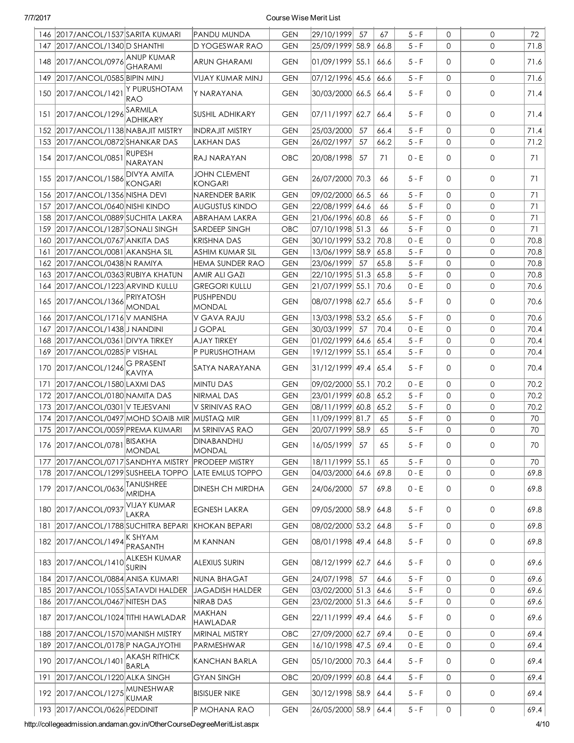|     | 146 2017/ANCOL/1537 SARITA KUMARI         |                                      | PANDU MUNDA                           | <b>GEN</b> | 29/10/1999          | 57   | 67   | $5 - F$ | $\mathbf{0}$ | 0            | 72   |
|-----|-------------------------------------------|--------------------------------------|---------------------------------------|------------|---------------------|------|------|---------|--------------|--------------|------|
| 147 | 2017/ANCOL/1340 D SHANTHI                 |                                      | D YOGESWAR RAO                        | <b>GEN</b> | 25/09/1999 58.9     |      | 66.8 | $5 - F$ | $\mathbf{0}$ | $\Omega$     | 71.8 |
| 148 | 2017/ANCOL/0976 ANUP KUMAR                | <b>GHARAMI</b>                       | <b>ARUN GHARAMI</b>                   | <b>GEN</b> | 01/09/1999 55.1     |      | 66.6 | 5 - F   | 0            | $\mathbf{O}$ | 71.6 |
| 149 | 2017/ANCOL/0585 BIPIN MINJ                |                                      | VIJAY KUMAR MINJ                      | <b>GEN</b> | 07/12/1996 45.6     |      | 66.6 | 5 - F   | $\mathbf 0$  | 0            | 71.6 |
|     | 150 2017/ANCOL/1421                       | y purushotam<br>RAO                  | Y NARAYANA                            | <b>GEN</b> | 30/03/2000  66.5    |      | 66.4 | $5-F$   | $\mathbf{0}$ | 0            | 71.4 |
| 151 | 2017/ANCOL/1296                           | SARMILA<br><b>ADHIKARY</b>           | <b>SUSHIL ADHIKARY</b>                | <b>GEN</b> | 07/11/1997          | 62.7 | 66.4 | $5 - F$ | $\mathbf{0}$ | $\mathbf{O}$ | 71.4 |
| 152 | 2017/ANCOL/1138 NABAJIT MISTRY            |                                      | <b>INDRAJIT MISTRY</b>                | <b>GEN</b> | 25/03/2000          | 57   | 66.4 | $5 - F$ | $\Omega$     | $\mathsf{O}$ | 71.4 |
|     | 153 2017/ANCOL/0872 SHANKAR DAS           |                                      | <b>LAKHAN DAS</b>                     | <b>GEN</b> | 26/02/1997          | 57   | 66.2 | $5 - F$ | $\mathbf{O}$ | $\mathsf{O}$ | 71.2 |
|     | 154 2017/ANCOL/0851                       | <b>RUPESH</b><br><b>NARAYAN</b>      | RAJ NARAYAN                           | OBC        | 20/08/1998          | -57  | 71   | $0 - E$ | $\mathbf 0$  | $\mathbf{O}$ | 71   |
|     | 155 2017/ANCOL/1586                       | <b>DIVYA AMITA</b><br><b>KONGARI</b> | <b>JOHN CLEMENT</b><br><b>KONGARI</b> | <b>GEN</b> | 26/07/2000 70.3     |      | 66   | $5 - F$ | $\Omega$     | $\mathsf{O}$ | 71   |
|     | 156 2017/ANCOL/1356 NISHA DEVI            |                                      | NARENDER BARIK                        | <b>GEN</b> | 09/02/2000 66.5     |      | 66   | $5 - F$ | $\mathbf{0}$ | $\mathsf{O}$ | 71   |
|     | 157 2017/ANCOL/0640 NISHI KINDO           |                                      | AUGUSTUS KINDO                        | <b>GEN</b> | 22/08/1999 64.6     |      | 66   | $5 - F$ | $\mathbf{0}$ | 0            | 71   |
|     | 158 2017/ANCOL/0889 SUCHITA LAKRA         |                                      | <b>ABRAHAM LAKRA</b>                  | <b>GEN</b> | 21/06/1996 60.8     |      | 66   | $5 - F$ | $\mathbf{0}$ | 0            | 71   |
|     | 159 2017/ANCOL/1287 SONALI SINGH          |                                      | <b>SARDEEP SINGH</b>                  | OBC        | 07/10/1998 51.3     |      | 66   | $5 - F$ | $\mathbf{0}$ | 0            | 71   |
|     | 160 2017/ANCOL/0767 ANKITA DAS            |                                      | <b>KRISHNA DAS</b>                    | <b>GEN</b> | 30/10/1999 53.2     |      | 70.8 | $0 - E$ | $\mathbf{0}$ | 0            | 70.8 |
| 161 | 2017/ANCOL/0081 AKANSHA SIL               |                                      | <b>ASHIM KUMAR SIL</b>                | <b>GEN</b> | 13/06/1999 58.9     |      | 65.8 | $5 - F$ | $\mathbf{0}$ | 0            | 70.8 |
| 162 | 2017/ANCOL/0438 N RAMIYA                  |                                      | HEMA SUNDER RAO                       | <b>GEN</b> | 23/06/1999          | 57   | 65.8 | $5 - F$ | $\mathbf{0}$ | 0            | 70.8 |
| 163 | 2017/ANCOL/0363 RUBIYA KHATUN             |                                      | <b>AMIR ALI GAZI</b>                  | <b>GEN</b> | 22/10/1995  51.3    |      | 65.8 | $5 - F$ | $\mathbf{0}$ | 0            | 70.8 |
| 164 | 2017/ANCOL/1223 ARVIND KULLU              |                                      | <b>GREGORI KULLU</b>                  | <b>GEN</b> | 21/07/1999 55.1     |      | 70.6 | $0 - E$ | $\mathbf{0}$ | 0            | 70.6 |
|     | 165 2017/ANCOL/1366                       | <b>PRIYATOSH</b><br><b>MONDAL</b>    | PUSHPENDU<br><b>MONDAL</b>            | <b>GEN</b> | 08/07/1998 62.7     |      | 65.6 | $5 - F$ | $\mathbf{0}$ | 0            | 70.6 |
|     | 166 2017/ANCOL/1716 V MANISHA             |                                      | V GAVA RAJU                           | <b>GEN</b> | 13/03/1998 53.2     |      | 65.6 | $5 - F$ | $\mathbf 0$  | 0            | 70.6 |
| 167 | 2017/ANCOL/1438 J NANDINI                 |                                      | <b>J GOPAL</b>                        | <b>GEN</b> | 30/03/1999          | 57   | 70.4 | $0 - E$ | $\mathbf 0$  | $\mathbf 0$  | 70.4 |
|     | 168 2017/ANCOL/0361 DIVYA TIRKEY          |                                      | <b>AJAY TIRKEY</b>                    | <b>GEN</b> | $ 01/02/1999 $ 64.6 |      | 65.4 | $5 - F$ | $\mathbf 0$  | $\mathbf 0$  | 70.4 |
| 169 | 2017/ANCOL/0285 P VISHAL                  |                                      | P PURUSHOTHAM                         | <b>GEN</b> | 19/12/1999 55.1     |      | 65.4 | $5 - F$ | $\mathbf 0$  | 0            | 70.4 |
|     | 170 2017/ANCOL/1246                       | <b>G PRASENT</b><br><b>KAVIYA</b>    | SATYA NARAYANA                        | <b>GEN</b> | 31/12/1999 49.4     |      | 65.4 | $5 - F$ | $\Omega$     | $\mathbf{O}$ | 70.4 |
| 171 | 2017/ANCOL/1580 LAXMI DAS                 |                                      | MINTU DAS                             | <b>GEN</b> | 09/02/2000 55.1     |      | 70.2 | $0 - E$ | $\mathbf{0}$ | $\mathsf{O}$ | 70.2 |
| 172 | 2017/ANCOL/0180 NAMITA DAS                |                                      | <b>NIRMAL DAS</b>                     | <b>GEN</b> | 23/01/1999 60.8     |      | 65.2 | $5 - F$ | $\mathbf{0}$ | 0            | 70.2 |
| 173 | 2017/ANCOL/0301 V TEJESVANI               |                                      | V SRINIVAS RAO                        | <b>GEN</b> | 08/11/1999 60.8     |      | 65.2 | $5 - F$ | $\mathbf{0}$ | $\mathbf{O}$ | 70.2 |
| 174 | 2017/ANCOL/0497 MOHD SOAIB MIR MUSTAQ MIR |                                      |                                       | <b>GEN</b> | 11/09/1999 81.7     |      | 65   | $5 - F$ | $\mathbf{0}$ | $\mathbf{O}$ | 70   |
| 175 | 2017/ANCOL/0059 PREMA KUMARI              |                                      | M SRINIVAS RAO                        | <b>GEN</b> | 20/07/1999          | 58.9 | 65   | $5 - F$ | $\Omega$     | $\mathbf{O}$ | 70   |
|     | 176 2017/ANCOL/0781                       | BISAKHA<br>MONDAL                    | DINABANDHU<br><b>MONDAL</b>           | <b>GEN</b> | 16/05/1999          | -57  | 65   | $5 - F$ | $\mathbf{0}$ | 0            | 70   |
| 177 | 2017/ANCOL/0717 SANDHYA MISTRY            |                                      | <b>PRODEEP MISTRY</b>                 | <b>GEN</b> | 18/11/1999 55.1     |      | 65   | $5 - F$ | $\mathbf{0}$ | $\mathbf{O}$ | 70   |
|     | 178 2017/ANCOL/1299 SUSHEELA TOPPO        |                                      | LATE EMLUS TOPPO                      | <b>GEN</b> | 04/03/2000 64.6     |      | 69.8 | $0 - E$ | 0            | 0            | 69.8 |
| 179 | 2017/ANCOL/0636                           | <b>TANUSHREE</b><br><b>MRIDHA</b>    | DINESH CH MIRDHA                      | <b>GEN</b> | 24/06/2000          | 57   | 69.8 | 0 - E   | 0            | 0            | 69.8 |
|     | 180 2017/ANCOL/0937                       | <b>VIJAY KUMAR</b><br>LAKRA          | <b>EGNESH LAKRA</b>                   | <b>GEN</b> | 09/05/2000 58.9     |      | 64.8 | $5 - F$ | $\mathbf{0}$ | 0            | 69.8 |
| 181 | 2017/ANCOL/1788 SUCHITRA BEPARI           |                                      | <b>KHOKAN BEPARI</b>                  | <b>GEN</b> | 08/02/2000 53.2     |      | 64.8 | $5 - F$ | 0            | 0            | 69.8 |
|     | 182 2017/ANCOL/1494 K SHYAM               | <b>PRASANTH</b>                      | M KANNAN                              | <b>GEN</b> | 08/01/1998 49.4     |      | 64.8 | $5 - F$ | 0            | 0            | 69.8 |
|     | 183 2017/ANCOL/1410 ALKESH KUMAR          | <b>SURIN</b>                         | <b>ALEXIUS SURIN</b>                  | <b>GEN</b> | 08/12/1999  62.7    |      | 64.6 | $5 - F$ | 0            | 0            | 69.6 |
|     | 184 2017/ANCOL/0884 ANISA KUMARI          |                                      | <b>NUNA BHAGAT</b>                    | <b>GEN</b> | 24/07/1998          | -57  | 64.6 | 5 - F   | $\mathbf 0$  | 0            | 69.6 |
|     | 185 2017/ANCOL/1055 SATAVDI HALDER        |                                      | <b>JAGADISH HALDER</b>                | <b>GEN</b> | 03/02/2000  51.3    |      | 64.6 | $5 - F$ | 0            | 0            | 69.6 |
| 186 | 2017/ANCOL/0467 NITESH DAS                |                                      | NIRAB DAS                             | <b>GEN</b> | 23/02/2000  51.3    |      | 64.6 | $5 - F$ | 0            | 0            | 69.6 |
|     | 187 2017/ANCOL/1024 TITHI HAWLADAR        |                                      | MAKHAN<br><b>HAWLADAR</b>             | <b>GEN</b> | 22/11/1999 49.4     |      | 64.6 | $5 - F$ | 0            | 0            | 69.6 |
|     | 188 2017/ANCOL/1570 MANISH MISTRY         |                                      | <b>MRINAL MISTRY</b>                  | OBC        | 27/09/2000 62.7     |      | 69.4 | $0 - E$ | $\mathbf{0}$ | 0            | 69.4 |
| 189 | 2017/ANCOL/0178 P NAGAJYOTHI              |                                      | PARMESHWAR                            | <b>GEN</b> | 16/10/1998 47.5     |      | 69.4 | $0 - E$ | 0            | 0            | 69.4 |
|     | 190 2017/ANCOL/1401                       | AKASH RITHICK<br>BARLA               | KANCHAN BARLA                         | <b>GEN</b> | 05/10/2000  70.3    |      | 64.4 | $5 - F$ | 0            | 0            | 69.4 |
| 191 | 2017/ANCOL/1220 ALKA SINGH                |                                      | <b>GYAN SINGH</b>                     | OBC        | 20/09/1999  60.8    |      | 64.4 | $5 - F$ | 0            | 0            | 69.4 |
|     | 192 2017/ANCOL/1275 MUNESHWAR             | KUMAR                                | <b>BISISUER NIKE</b>                  | <b>GEN</b> | 30/12/1998 58.9     |      | 64.4 | 5 - F   | 0            | 0            | 69.4 |
|     | 193 2017/ANCOL/0626 PEDDINIT              |                                      | P MOHANA RAO                          | <b>GEN</b> | 26/05/2000 58.9     |      | 64.4 | $5 - F$ | 0            | 0            | 69.4 |

http://collegeadmission.andaman.gov.in/OtherCourseDegreeMeritList.aspx 4/10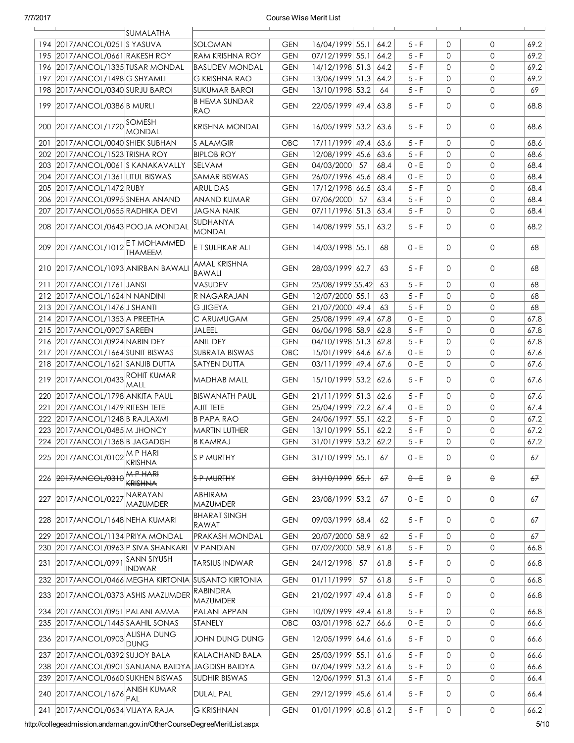|     |                                               | SUMALATHA                  |                                                 |            |                             |    |      |         |              |              |      |
|-----|-----------------------------------------------|----------------------------|-------------------------------------------------|------------|-----------------------------|----|------|---------|--------------|--------------|------|
|     | 194 2017/ANCOL/0251 S YASUVA                  |                            | SOLOMAN                                         | <b>GEN</b> | 16/04/1999 55.1             |    | 64.2 | $5 - F$ | 0            | $\mathbf{0}$ | 69.2 |
|     | 195 2017/ANCOL/0661 RAKESH ROY                |                            | <b>RAM KRISHNA ROY</b>                          | <b>GEN</b> | 07/12/1999 55.1             |    | 64.2 | $5 - F$ | $\mathbf 0$  | $\mathbf{0}$ | 69.2 |
|     | 196   2017/ANCOL/1335   TUSAR MONDAL          |                            | BASUDEV MONDAL                                  | <b>GEN</b> | 14/12/1998 51.3             |    | 64.2 | $5 - F$ | $\mathbf 0$  | $\mathbf{0}$ | 69.2 |
|     | 197 2017/ANCOL/1498 G SHYAMLI                 |                            | <b>G KRISHNA RAO</b>                            | <b>GEN</b> | 13/06/1999 51.3             |    | 64.2 | $5 - F$ | $\mathbf 0$  | $\mathsf O$  | 69.2 |
| 198 | 2017/ANCOL/0340 SURJU BAROI                   |                            | <b>SUKUMAR BAROI</b>                            | <b>GEN</b> | 13/10/1998 53.2             |    | 64   | $5 - F$ | $\mathbf 0$  | $\mathbf{0}$ | 69   |
|     | 199 2017/ANCOL/0386 B MURLI                   |                            | B HEMA SUNDAR<br>RAO                            | <b>GEN</b> | 22/05/1999 49.4             |    | 63.8 | $5-F$   | 0            | $\mathbf{0}$ | 68.8 |
| 200 | 2017/ANCOL/1720 SOMESH                        | MONDAL                     | KRISHNA MONDAL                                  | <b>GEN</b> | 16/05/1999 53.2             |    | 63.6 | $5 - F$ | $\mathbf{0}$ | 0            | 68.6 |
| 201 | 2017/ANCOL/0040 SHIEK SUBHAN                  |                            | <b>S ALAMGIR</b>                                | OBC        | 17/11/1999  49.4            |    | 63.6 | $5 - F$ | $\mathbf{0}$ | 0            | 68.6 |
|     | 202 2017/ANCOL/1523 TRISHA ROY                |                            | <b>BIPLOB ROY</b>                               | <b>GEN</b> | 12/08/1999 45.6             |    | 63.6 | $5 - F$ | $\mathbf 0$  | $\mathbf{0}$ | 68.6 |
|     | 203 2017/ANCOL/0061 S KANAKAVALLY             |                            | <b>SELVAM</b>                                   | <b>GEN</b> | 04/03/2000                  | 57 | 68.4 | $0 - E$ | $\mathbf 0$  | $\mathsf{O}$ | 68.4 |
|     | 204 2017/ANCOL/1361 LITUL BISWAS              |                            | <b>SAMAR BISWAS</b>                             | <b>GEN</b> | 26/07/1996 45.6             |    | 68.4 | $0 - E$ | $\mathbf 0$  | $\mathbf{0}$ | 68.4 |
|     | 205 2017/ANCOL/1472 RUBY                      |                            | <b>ARUL DAS</b>                                 | <b>GEN</b> | 17/12/1998 66.5             |    | 63.4 | $5 - F$ | $\mathbf 0$  | $\mathsf{O}$ | 68.4 |
|     | 206 2017/ANCOL/0995 SNEHA ANAND               |                            | ANAND KUMAR                                     | <b>GEN</b> | 07/06/2000                  | 57 | 63.4 | $5 - F$ | $\mathbf 0$  | $\mathsf{O}$ | 68.4 |
| 207 | 2017/ANCOL/0655 RADHIKA DEVI                  |                            | JAGNA NAIK                                      | <b>GEN</b> | 07/11/1996 51.3             |    | 63.4 | $5 - F$ | $\mathbf 0$  | $\mathbf{0}$ | 68.4 |
|     | 208 2017/ANCOL/0643 POOJA MONDAL              |                            | ISUDHANYA<br><b>MONDAL</b>                      | <b>GEN</b> | 14/08/1999 55.1             |    | 63.2 | $5 - F$ | $\mathbf{0}$ | $\mathbf{0}$ | 68.2 |
|     | 209 2017/ANCOL/1012 ET MOHAMMED               | <b>THAMEEM</b>             | E T SULFIKAR ALI                                | <b>GEN</b> | 14/03/1998  55.1            |    | 68   | 0 - E   | $\mathbf 0$  | $\mathsf{O}$ | 68   |
|     | 210   2017/ANCOL/1093   ANIRBAN BAWALI        |                            | AMAL KRISHNA<br><b>BAWALI</b>                   | <b>GEN</b> | 28/03/1999 62.7             |    | 63   | $5 - F$ | $\mathbf{0}$ | 0            | 68   |
| 211 | 2017/ANCOL/1761 JANSI                         |                            | VASUDEV                                         | <b>GEN</b> | 25/08/1999 55.42            |    | 63   | $5 - F$ | $\mathbf{0}$ | $\mathsf{O}$ | 68   |
|     | 212 2017/ANCOL/1624 N NANDINI                 |                            | IR NAGARAJAN                                    | <b>GEN</b> | 12/07/2000 55.1             |    | 63   | $5 - F$ | $\mathbf 0$  | $\mathbf{0}$ | 68   |
|     | 213 2017/ANCOL/1476 J SHANTI                  |                            | <b>G JIGEYA</b>                                 | <b>GEN</b> | 21/07/2000 49.4             |    | 63   | $5 - F$ | $\mathbf 0$  | 0            | 68   |
|     | 214 2017/ANCOL/1353 A PREETHA                 |                            | C ARUMUGAM                                      | <b>GEN</b> | 25/08/1999 49.4             |    | 67.8 | $0 - E$ | $\mathbf 0$  | $\mathsf{O}$ | 67.8 |
|     | 215 2017/ANCOL/0907 SAREEN                    |                            | <b>JALEEL</b>                                   | <b>GEN</b> | 06/06/1998 58.9             |    | 62.8 | $5 - F$ | $\mathbf 0$  | 0            | 67.8 |
|     | 216 2017/ANCOL/0924 NABIN DEY                 |                            | <b>ANIL DEY</b>                                 | <b>GEN</b> | 04/10/1998 51.3             |    | 62.8 | $5 - F$ | $\mathbf 0$  | $\mathsf{O}$ | 67.8 |
|     | 217 2017/ANCOL/1664 SUNIT BISWAS              |                            | SUBRATA BISWAS                                  | OBC        | 15/01/1999 64.6             |    | 67.6 | $0 - E$ | $\mathbf 0$  | $\mathsf{O}$ | 67.6 |
|     | 218 2017/ANCOL/1621 SANJIB DUTTA              |                            | <b>SATYEN DUTTA</b>                             | <b>GEN</b> | 03/11/1999 49.4             |    | 67.6 | $0 - E$ | $\mathbf 0$  | 0            | 67.6 |
|     | 219 2017/ANCOL/0433 ROHIT KUMAR               | MALL                       | MADHAB MALL                                     | <b>GEN</b> | 15/10/1999 53.2 62.6        |    |      | $5 - F$ | $\mathbf{0}$ | 0            | 67.6 |
| 220 | 2017/ANCOL/1798 ANKITA PAUL                   |                            | <b>BISWANATH PAUL</b>                           | <b>GEN</b> | 21/11/1999 51.3             |    | 62.6 | $5 - F$ | $\mathbf{0}$ | $\mathbf{0}$ | 67.6 |
| 221 | 2017/ANCOL/1479 RITESH TETE                   |                            | AJIT TETE                                       | <b>GEN</b> | 25/04/1999 72.2             |    | 67.4 | $0 - E$ | $\mathbf 0$  | $\mathbf{0}$ | 67.4 |
|     | 222 2017/ANCOL/1248 B RAJLAXMI                |                            | <b>B PAPA RAO</b>                               | <b>GEN</b> | 24/06/1997 55.1             |    | 62.2 | $5 - F$ | 0            | $\mathsf O$  | 67.2 |
|     | 223 2017/ANCOL/0485 M JHONCY                  |                            | MARTIN LUTHER                                   | <b>GEN</b> | 13/10/1999 55.1             |    | 62.2 | $5 - F$ | 0            | $\mathbf{0}$ | 67.2 |
|     | 224 2017/ANCOL/1368 B JAGADISH                |                            | <b>B KAMRAJ</b>                                 | <b>GEN</b> | 31/01/1999 53.2 62.2        |    |      | $5 - F$ | $\Omega$     | $\mathbf{0}$ | 67.2 |
| 225 | 2017/ANCOL/0102 M P HARI                      | <b>KRISHNA</b>             | S P MURTHY                                      | <b>GEN</b> | 31/10/1999 55.1             |    | 67   | $0 - E$ | 0            | 0            | 67   |
| 226 | 2017/ANCOL/0310                               | MPHARI<br><b>KRISHNA</b>   | <b>S P MURTHY</b>                               | <b>GEN</b> | 31/10/1999 55.1             |    | 67   | $0 - E$ | θ            | $\Theta$     | 67   |
|     | 227 2017/ANCOL/0227                           | NARAYAN<br><b>MAZUMDER</b> | <b>ABHIRAM</b><br>MAZUMDER                      | <b>GEN</b> | 23/08/1999 53.2             |    | 67   | $0 - E$ | 0            | $\mathsf O$  | 67   |
| 228 | 2017/ANCOL/1648 NEHA KUMARI                   |                            | <b>BHARAT SINGH</b><br>RAWAT                    | <b>GEN</b> | 09/03/1999 68.4             |    | 62   | $5 - F$ | $\mathbf{0}$ | $\mathbf{0}$ | 67   |
| 229 | 2017/ANCOL/1134 PRIYA MONDAL                  |                            | <b>PRAKASH MONDAL</b>                           | <b>GEN</b> | 20/07/2000 58.9             |    | 62   | $5 - F$ | 0            | 0            | 67   |
| 230 | 2017/ANCOL/0963 P SIVA SHANKARI               |                            | V PANDIAN                                       | <b>GEN</b> | 07/02/2000 58.9             |    | 61.8 | $5 - F$ | $\mathbf 0$  | 0            | 66.8 |
| 231 | 2017/ANCOL/0991 SANN SIYUSH                   | <b>INDWAR</b>              | <b>TARSIUS INDWAR</b>                           | <b>GEN</b> | 24/12/1998                  | 57 | 61.8 | 5 - F   | 0            | 0            | 66.8 |
| 232 |                                               |                            | 2017/ANCOL/0466 MEGHA KIRTONIA SUSANTO KIRTONIA | <b>GEN</b> | 01/11/1999                  | 57 | 61.8 | $5 - F$ | 0            | 0            | 66.8 |
| 233 | 2017/ANCOL/0373 ASHIS MAZUMDER                |                            | RABINDRA<br>MAZUMDER                            | <b>GEN</b> | 21/02/1997 49.4             |    | 61.8 | $5 - F$ | 0            | 0            | 66.8 |
|     | 234 2017/ANCOL/0951 PALANI AMMA               |                            | PALANI APPAN                                    | <b>GEN</b> | 10/09/1999 49.4             |    | 61.8 | $5 - F$ | $\mathbf 0$  | $\mathsf{O}$ | 66.8 |
| 235 | 2017/ANCOL/1445 SAAHIL SONAS                  |                            | STANELY                                         | OBC        | 03/01/1998 62.7             |    | 66.6 | $0 - E$ | $\mathbf{0}$ | $\mathsf{O}$ | 66.6 |
| 236 | 2017/ANCOL/0903 ALISHA DUNG                   | <b>DUNG</b>                | JOHN DUNG DUNG                                  | <b>GEN</b> | 12/05/1999 64.6             |    | 61.6 | $5 - F$ | 0            | 0            | 66.6 |
| 237 | 2017/ANCOL/0392 SUJOY BALA                    |                            | KALACHAND BALA                                  | <b>GEN</b> | 25/03/1999 55.1             |    | 61.6 | $5 - F$ | $\mathbf 0$  | $\mathsf{O}$ | 66.6 |
| 238 | 2017/ANCOL/0901 SANJANA BAIDYA JAGDISH BAIDYA |                            |                                                 | <b>GEN</b> | 07/04/1999 53.2             |    | 61.6 | $5 - F$ | $\mathbf 0$  | $\mathsf{O}$ | 66.6 |
| 239 | 2017/ANCOL/0660 SUKHEN BISWAS                 |                            | <b>SUDHIR BISWAS</b>                            | <b>GEN</b> | 12/06/1999 51.3             |    | 61.4 | $5 - F$ | 0            | 0            | 66.4 |
| 240 | 2017/ANCOL/1676 ANISH KUMAR                   | PAL                        | <b>DULAL PAL</b>                                | <b>GEN</b> | 29/12/1999 45.6             |    | 61.4 | $5 - F$ | 0            | 0            | 66.4 |
| 241 | 2017/ANCOL/0634 VIJAYA RAJA                   |                            | <b>G KRISHNAN</b>                               | <b>GEN</b> | $ 01/01/1999 $ 60.8 $ 61.2$ |    |      | $5 - F$ | 0            | $\mathsf{O}$ | 66.2 |

http://collegeadmission.andaman.gov.in/OtherCourseDegreeMeritList.aspx 5/10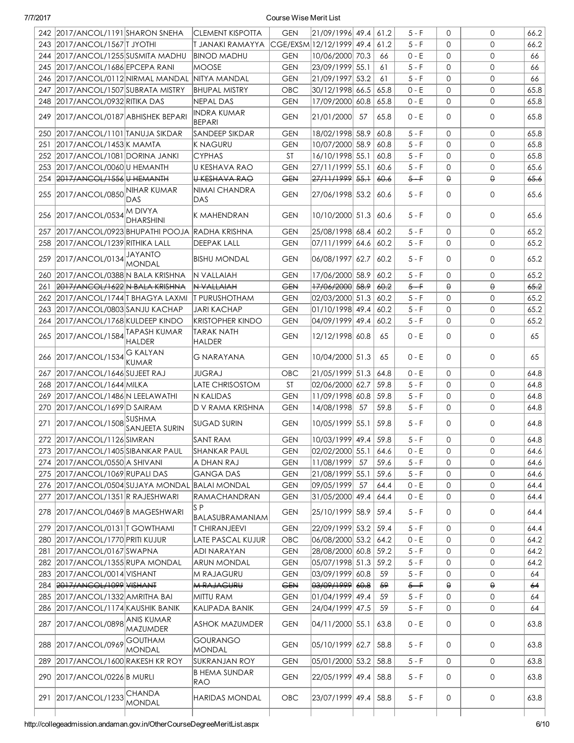|     | 242 2017/ANCOL/1191 SHARON SNEHA               |                                 | <b>CLEMENT KISPOTTA</b>             | <b>GEN</b> | $ 21/09/1996 $ 49.4 $ 61.2$ |    |      | $5 - F$ | $\Omega$     | 0            | 66.2 |
|-----|------------------------------------------------|---------------------------------|-------------------------------------|------------|-----------------------------|----|------|---------|--------------|--------------|------|
|     | 243 2017/ANCOL/1567 TJYOTHI                    |                                 | T JANAKI RAMAYYA                    |            | CGE/EXSM 12/12/1999  49.4   |    | 61.2 | $5 - F$ | 0            | $\Omega$     | 66.2 |
|     | 244 2017/ANCOL/1255 SUSMITA MADHU              |                                 | <b>BINOD MADHU</b>                  | <b>GEN</b> | 10/06/2000 70.3             |    | 66   | 0 - E   | 0            | $\mathbf{0}$ | 66   |
|     | 245 2017/ANCOL/1686 EPCEPA RANI                |                                 | <b>MOOSE</b>                        | <b>GEN</b> | 23/09/1999 55.1             |    | 61   | $5 - F$ | $\mathbf{0}$ | $\mathbf{0}$ | 66   |
|     | 246 2017/ANCOL/0112 NIRMAL MANDAL              |                                 | NITYA MANDAL                        | <b>GEN</b> | 21/09/1997 53.2             |    | 61   | $5 - F$ | $\mathbf{0}$ | $\mathbf{0}$ | 66   |
| 247 | 2017/ANCOL/1507 SUBRATA MISTRY                 |                                 | <b>BHUPAL MISTRY</b>                | OBC        | 30/12/1998 66.5             |    | 65.8 | $0 - E$ | $\mathbf{0}$ | $\mathbf{0}$ | 65.8 |
|     | 248 2017/ANCOL/0932 RITIKA DAS                 |                                 | <b>NEPAL DAS</b>                    | <b>GEN</b> | 17/09/2000 60.8             |    | 65.8 | $0 - E$ | $\mathbf{0}$ | $\mathbf{0}$ | 65.8 |
|     | 249 2017/ANCOL/0187 ABHISHEK BEPARI            |                                 | <b>INDRA KUMAR</b><br><b>BEPARI</b> | <b>GEN</b> | 21/01/2000                  | 57 | 65.8 | 0 - E   | 0            | $\mathbf{O}$ | 65.8 |
|     | 250   2017/ANCOL/1101   TANUJA SIKDAR          |                                 | SANDEEP SIKDAR                      | <b>GEN</b> | 18/02/1998 58.9             |    | 60.8 | $5 - F$ | 0            | $\mathbf 0$  | 65.8 |
| 251 | 2017/ANCOL/1453 K MAMTA                        |                                 | K NAGURU                            | <b>GEN</b> | 10/07/2000 58.9             |    | 60.8 | $5 - F$ | $\mathbf 0$  | $\mathbf{0}$ | 65.8 |
|     | 252 2017/ANCOL/1081 DORINA JANKI               |                                 | <b>CYPHAS</b>                       | <b>ST</b>  | 16/10/1998 55.1             |    | 60.8 | $5 - F$ | $\mathbf 0$  | $\mathbf{0}$ | 65.8 |
|     | 253 2017/ANCOL/0060 U HEMANTH                  |                                 | U KESHAVA RAO                       | <b>GEN</b> | 27/11/1999 55.1             |    | 60.6 | $5 - F$ | $\mathbf{0}$ | $\mathbf{0}$ | 65.6 |
|     | 254 2017/ANCOL/1556 U HEMANTH                  |                                 | U KESHAVA RAO                       | <b>GEN</b> | <del>27/11/1999</del> 55.1  |    | 60.6 | $5 - F$ | θ            | $\Theta$     | 65.6 |
|     | 255 2017/ANCOL/0850 NIHAR KUMAR                | DAS                             | NIMAI CHANDRA<br>DAS.               | <b>GEN</b> | 27/06/1998 53.2             |    | 60.6 | $5-F$   | 0            | $\mathbf{O}$ | 65.6 |
|     | 256 2017/ANCOL/0534                            | M DIVYA<br><b>DHARSHINI</b>     | K MAHENDRAN                         | <b>GEN</b> | 10/10/2000 51.3             |    | 60.6 | $5 - F$ | $\mathbf{O}$ | $\mathbf 0$  | 65.6 |
| 257 | 2017/ANCOL/0923 BHUPATHI POOJA RADHA KRISHNA   |                                 |                                     | <b>GEN</b> | 25/08/1998 68.4             |    | 60.2 | $5 - F$ | 0            | $\mathbf{0}$ | 65.2 |
|     | 258 2017/ANCOL/1239 RITHIKA LALL               |                                 | <b>DEEPAK LALL</b>                  | <b>GEN</b> | 07/11/1999  64.6            |    | 60.2 | $5 - F$ | $\mathbf{O}$ | $\Omega$     | 65.2 |
|     | 259 2017/ANCOL/0134 JAYANTO                    | <b>MONDAL</b>                   | <b>BISHU MONDAL</b>                 | <b>GEN</b> | 06/08/1997 62.7             |    | 60.2 | $5 - F$ | 0            | 0            | 65.2 |
| 260 | 2017/ANCOL/0388 N BALA KRISHNA                 |                                 | N VALLAIAH                          | <b>GEN</b> | 17/06/2000 58.9             |    | 60.2 | $5 - F$ | 0            | $\mathbf{0}$ | 65.2 |
| 261 | 2017/ANCOL/1622 N BALA KRISHNA                 |                                 | N VALLAIAH                          | <b>GEN</b> | <del>17/06/2000</del> 58.9  |    | 60.2 | $5 - F$ | θ            | $\Theta$     | 65.2 |
| 262 | 2017/ANCOL/1744 TBHAGYA LAXMI                  |                                 | <b>T PURUSHOTHAM</b>                | <b>GEN</b> | 02/03/2000 51.3             |    | 60.2 | $5 - F$ | $\mathbf{0}$ | $\mathbf{0}$ | 65.2 |
| 263 | 2017/ANCOL/0803 SANJU KACHAP                   |                                 | <b>JARI KACHAP</b>                  | <b>GEN</b> | 01/10/1998 49.4             |    | 60.2 | $5 - F$ | $\mathbf{0}$ | $\mathbf{0}$ | 65.2 |
| 264 | 2017/ANCOL/1768 KULDEEP KINDO                  |                                 | <b>KRISTOPHER KINDO</b>             | <b>GEN</b> | $ 04/09/1999 $ 49.4         |    | 60.2 | 5 - F   | $\mathbf{O}$ | $\mathbf{0}$ | 65.2 |
|     | 265 2017/ANCOL/1584 TAPASH KUMAR               | <b>HALDER</b>                   | <b>TARAK NATH</b><br>HALDER         | <b>GEN</b> | 12/12/1998 60.8             |    | 65   | 0 - E   | 0            | $\mathbf{0}$ | 65   |
|     | 266 2017/ANCOL/1534                            | <b>G KALYAN</b><br><b>KUMAR</b> | G NARAYANA                          | <b>GEN</b> | 10/04/2000 51.3             |    | 65   | $0 - E$ | 0            | $\mathbf 0$  | 65   |
|     | 267 2017/ANCOL/1646 SUJEET RAJ                 |                                 | JUGRAJ                              | OBC        | 21/05/1999 51.3             |    | 64.8 | $0 - E$ | $\mathbf{O}$ | $\mathbf{0}$ | 64.8 |
|     | 268 2017/ANCOL/1644 MILKA                      |                                 | LATE CHRISOSTOM                     | <b>ST</b>  | 02/06/2000 62.7             |    | 59.8 | $5 - F$ | $\mathbf{O}$ | $\mathbf{0}$ | 64.8 |
|     | 269   2017/ANCOL/1486   N LEELAWATHI           |                                 | N KALIDAS                           | <b>GEN</b> | 11/09/1998 60.8             |    | 59.8 | $5 - F$ | $\mathbf{O}$ | $\mathbf{0}$ | 64.8 |
| 270 | 2017/ANCOL/1699 D SAIRAM                       |                                 | D V RAMA KRISHNA                    | <b>GEN</b> | 14/08/1998                  | 57 | 59.8 | $5 - F$ | $\mathbf{O}$ | $\mathbf{0}$ | 64.8 |
| 271 | 2017/ANCOL/1508 SUSHMA                         | SANJEETA SURIN                  | <b>SUGAD SURIN</b>                  | <b>GEN</b> | 10/05/1999 55.1             |    | 59.8 | $5 - F$ | $\mathbf{O}$ | $\mathbf{0}$ | 64.8 |
|     | 272 2017/ANCOL/1126 SIMRAN                     |                                 | <b>SANT RAM</b>                     | <b>GEN</b> | 10/03/1999 49.4             |    | 59.8 | $5 - F$ | $\Omega$     | $\mathsf{O}$ | 64.8 |
|     | 273 2017/ANCOL/1405 SIBANKAR PAUL              |                                 | SHANKAR PAUL                        | GEN        | $ 02/02/2000 $ 55.1         |    | 64.6 | 0 - E   | 0            | 0            | 64.6 |
|     | 274 2017/ANCOL/0550 A SHIVANI                  |                                 | A DHAN RAJ                          | <b>GEN</b> | 11/08/1999                  | 57 | 59.6 | $5 - F$ | 0            | $\mathbf{0}$ | 64.6 |
|     | 275 2017/ANCOL/1069 RUPALI DAS                 |                                 | GANGA DAS                           | <b>GEN</b> | 21/08/1999 55.1             |    | 59.6 | $5 - F$ | 0            | 0            | 64.6 |
|     | 276 2017/ANCOL/0504 SUJAYA MONDAL BALAI MONDAL |                                 |                                     | <b>GEN</b> | 09/05/1999 57               |    | 64.4 | $0 - E$ | 0            | 0            | 64.4 |
|     | 277   2017/ANCOL/1351   R RAJESHWARI           |                                 | RAMACHANDRAN                        | <b>GEN</b> | 31/05/2000 49.4             |    | 64.4 | $0 - E$ | 0            | 0            | 64.4 |
|     | 278 2017/ANCOL/0469 B MAGESHWARI               |                                 | S P<br>BALASUBRAMANIAM              | <b>GEN</b> | 25/10/1999 58.9             |    | 59.4 | $5 - F$ | 0            | 0            | 64.4 |
| 279 | 2017/ANCOL/0131 T GOWTHAMI                     |                                 | <b>T CHIRANJEEVI</b>                | <b>GEN</b> | 22/09/1999 53.2             |    | 59.4 | 5 - F   | 0            | 0            | 64.4 |
| 280 | 2017/ANCOL/1770 PRITI KUJUR                    |                                 | LATE PASCAL KUJUR                   | OBC        | 06/08/2000 53.2             |    | 64.2 | 0 - E   | 0            | 0            | 64.2 |
| 281 | 2017/ANCOL/0167 SWAPNA                         |                                 | ADI NARAYAN                         | <b>GEN</b> | 28/08/2000 60.8             |    | 59.2 | $5 - F$ | 0            | 0            | 64.2 |
| 282 | 2017/ANCOL/1355 RUPA MONDAL                    |                                 | <b>ARUN MONDAL</b>                  | <b>GEN</b> | 05/07/1998 51.3             |    | 59.2 | $5 - F$ | 0            | 0            | 64.2 |
| 283 | 2017/ANCOL/0014 VISHANT                        |                                 | M RAJAGURU                          | <b>GEN</b> | $ 03/09/1999 $ 60.8         |    | 59   | $5 - F$ | 0            | 0            | 64   |
| 284 | 2017/ANCOL/1099 VISHANT                        |                                 | <b>M RAJAGURU</b>                   | <b>GEN</b> | 03/09/1999 60.8             |    | 59   | $5 - F$ | θ            | $\Theta$     | 64   |
| 285 | 2017/ANCOL/1332 AMRITHA BAI                    |                                 | MITTU RAM                           | <b>GEN</b> | $ 01/04/1999 $ 49.4         |    | 59   | $5 - F$ | 0            | $\mathsf{O}$ | 64   |
| 286 | 2017/ANCOL/1174 KAUSHIK BANIK                  |                                 | KALIPADA BANIK                      | <b>GEN</b> | 24/04/1999 47.5             |    | 59   | $5 - F$ | 0            | $\mathsf{O}$ | 64   |
| 287 | 2017/ANCOL/0898 ANIS KUMAR                     | <b>MAZUMDER</b>                 | <b>ASHOK MAZUMDER</b>               | <b>GEN</b> | 04/11/2000 55.1             |    | 63.8 | 0 - E   | 0            | $\mathsf{O}$ | 63.8 |
|     | 288 2017/ANCOL/0969 GOUTHAM                    | <b>MONDAL</b>                   | GOURANGO<br><b>MONDAL</b>           | <b>GEN</b> | 05/10/1999 62.7             |    | 58.8 | 5 - F   | 0            | 0            | 63.8 |
| 289 | 2017/ANCOL/1600 RAKESH KR ROY                  |                                 | <b>SUKRANJAN ROY</b>                | <b>GEN</b> | 05/01/2000 53.2             |    | 58.8 | $5 - F$ | 0            | $\mathsf{O}$ | 63.8 |
|     | 290 2017/ANCOL/0226 B MURLI                    |                                 | <b>B HEMA SUNDAR</b><br>RAO         | <b>GEN</b> | 22/05/1999 49.4             |    | 58.8 | $5 - F$ | 0            | $\mathsf{O}$ | 63.8 |
|     | 291 2017/ANCOL/1233                            | CHANDA<br><b>MONDAL</b>         | HARIDAS MONDAL                      | <b>OBC</b> | 23/07/1999 49.4             |    | 58.8 | 5 - F   | 0            | 0            | 63.8 |
|     |                                                |                                 |                                     |            |                             |    |      |         |              |              |      |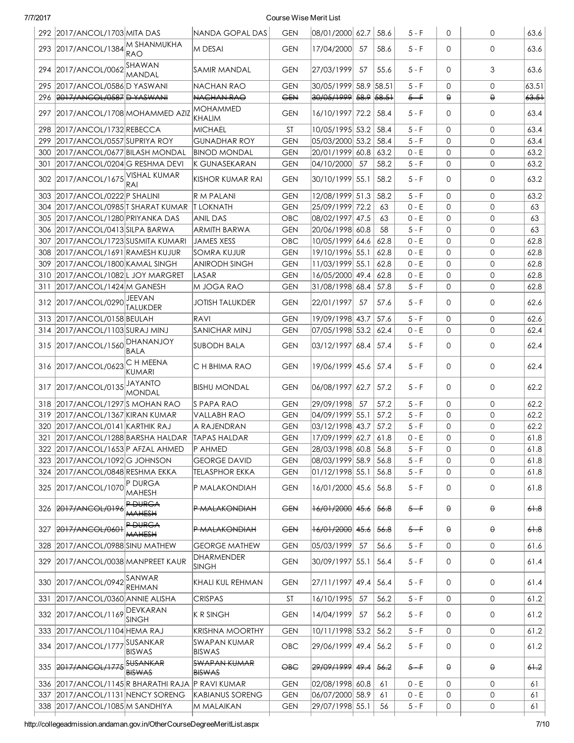| 7/7/2017 |                                            |                                  |                                      | Course Wise Merit List |                                  |                  |      |         |              |              |          |
|----------|--------------------------------------------|----------------------------------|--------------------------------------|------------------------|----------------------------------|------------------|------|---------|--------------|--------------|----------|
|          | 292 2017/ANCOL/1703 MITA DAS               |                                  | NANDA GOPAL DAS                      | <b>GEN</b>             | 08/01/2000 62.7                  |                  | 58.6 | $5 - F$ | $\mathbf 0$  | 0            | 63.6     |
| 293      | 2017/ANCOL/1384                            | M SHANMUKHA<br><b>RAO</b>        | M DESAI                              | <b>GEN</b>             | 17/04/2000                       | 57               | 58.6 | $5-F$   | 0            | $\mathbf{0}$ | 63.6     |
| 294      | 2017/ANCOL/0062 SHAWAN                     | MANDAL                           | SAMIR MANDAL                         | <b>GEN</b>             | 27/03/1999                       | 57               | 55.6 | $5 - F$ | $\Omega$     | 3            | 63.6     |
| 295      | 2017/ANCOL/0586 D YASWANI                  |                                  | NACHAN RAO                           | <b>GEN</b>             | 30/05/1999 58.9 58.51            |                  |      | $5 - F$ | $\mathbf 0$  | $\mathbf{0}$ | 63.51    |
| 296      | 2017/ANCOL/0587 D YASWANI                  |                                  | NACHAN RAO                           | <b>GEN</b>             | <del>30/05/1999</del> 58.9 58.51 |                  |      | $5 - F$ | $\theta$     | $\Theta$     | 63.51    |
| 297      | 2017/ANCOL/1708 MOHAMMED AZIZ              |                                  | MOHAMMED<br>KHALIM                   | <b>GEN</b>             | 16/10/1997 72.2                  |                  | 58.4 | $5 - F$ | $\Omega$     | $\mathbf{0}$ | 63.4     |
| 298      | 2017/ANCOL/1732 REBECCA                    |                                  | <b>MICHAEL</b>                       | <b>ST</b>              | 10/05/1995 53.2                  |                  | 58.4 | $5 - F$ | $\Omega$     | $\mathsf{O}$ | 63.4     |
| 299      | 2017/ANCOL/0557 SUPRIYA ROY                |                                  | <b>GUNADHAR ROY</b>                  | <b>GEN</b>             | 05/03/2000 53.2                  |                  | 58.4 | $5 - F$ | $\Omega$     | $\mathsf{O}$ | 63.4     |
| 300      | 2017/ANCOL/0677 BILASH MONDAL              |                                  | <b>BINOD MONDAL</b>                  | <b>GEN</b>             | 20/01/1999 60.8                  |                  | 63.2 | $0 - E$ | $\mathbf{O}$ | $\mathbf{0}$ | 63.2     |
| 301      | 2017/ANCOL/0204 G RESHMA DEVI              |                                  | K GUNASEKARAN                        | <b>GEN</b>             | 04/10/2000                       | 57               | 58.2 | $5 - F$ | $\mathbf{O}$ | $\mathbf{0}$ | 63.2     |
| 302      | 2017/ANCOL/1675                            | VISHAL KUMAR<br>RAI              | <b>KISHOR KUMAR RAI</b>              | <b>GEN</b>             | 30/10/1999 55.1                  |                  | 58.2 | $5 - F$ | $\mathbf 0$  | 0            | 63.2     |
| 303      | 2017/ANCOL/0222 P SHALINI                  |                                  | <b>R M PALANI</b>                    | <b>GEN</b>             | 12/08/1999 51.3                  |                  | 58.2 | $5-F$   | $\Omega$     | $\mathsf{O}$ | 63.2     |
| 304      | 2017/ANCOL/0985 T SHARAT KUMAR  T LOKNATH  |                                  |                                      | <b>GEN</b>             | 25/09/1999 72.2                  |                  | 63   | $0 - E$ | $\Omega$     | $\Omega$     | 63       |
| 305      | 2017/ANCOL/1280 PRIYANKA DAS               |                                  | ANIL DAS                             | OBC                    | 08/02/1997 47.5                  |                  | 63   | $0 - E$ | $\mathbf{O}$ | 0            | 63       |
| 306      | 2017/ANCOL/0413 SILPA BARWA                |                                  | ARMITH BARWA                         | <b>GEN</b>             | 20/06/1998 60.8                  |                  | 58   | $5 - F$ | $\Omega$     | 0            | 63       |
| 307      | 2017/ANCOL/1723 SUSMITA KUMARI             |                                  | <b>JAMES XESS</b>                    | OBC                    | 10/05/1999 64.6                  |                  | 62.8 | $0 - E$ | $\mathbf 0$  | $\mathbf{O}$ | 62.8     |
| 308      | 2017/ANCOL/1691 RAMESH KUJUR               |                                  | <b>SOMRA KUJUR</b>                   | <b>GEN</b>             | 19/10/1996 55.1                  |                  | 62.8 | $0 - E$ | $\mathbf 0$  | $\mathbf{O}$ | 62.8     |
| 309      | 2017/ANCOL/1800 KAMAL SINGH                |                                  | <b>ANIRODH SINGH</b>                 | <b>GEN</b>             | 11/03/1999 55.1                  |                  | 62.8 | $0 - E$ | $\mathbf 0$  | 0            | 62.8     |
| 310      | 2017/ANCOL/1082L JOY MARGRET               |                                  | LASAR                                | <b>GEN</b>             | 16/05/2000 49.4                  |                  | 62.8 | $0 - E$ | $\mathbf 0$  | 0            | 62.8     |
| 311      | 2017/ANCOL/1424 M GANESH                   |                                  | M JOGA RAO                           | <b>GEN</b>             | 31/08/1998 68.4                  |                  | 57.8 | $5 - F$ | $\Omega$     | 0            | 62.8     |
| 312      | 2017/ANCOL/0290                            | JEEVAN<br><b>TALUKDER</b>        | <b>JOTISH TALUKDER</b>               | <b>GEN</b>             | 22/01/1997                       | 57               | 57.6 | $5 - F$ | $\Omega$     | $\mathbf{O}$ | 62.6     |
| 313      | 2017/ANCOL/0158 BEULAH                     |                                  | RAVI                                 | <b>GEN</b>             | 19/09/1998 43.7                  |                  | 57.6 | $5 - F$ | $\mathbf 0$  | $\mathbf{0}$ | 62.6     |
| 314      | 2017/ANCOL/1103 SURAJ MINJ                 |                                  | <b>SANICHAR MINJ</b>                 | <b>GEN</b>             | 07/05/1998 53.2                  |                  | 62.4 | $0 - E$ | $\mathbf 0$  | 0            | 62.4     |
| 315      | 2017/ANCOL/1560                            | DHANANJOY<br><b>BALA</b>         | SUBODH BALA                          | <b>GEN</b>             | 03/12/1997 68.4                  |                  | 57.4 | $5 - F$ | 0            | 0            | 62.4     |
| 316      | 2017/ANCOL/0623                            | C H MEENA<br><b>KUMARI</b>       | C H BHIMA RAO                        | <b>GEN</b>             | 19/06/1999 45.6                  |                  | 57.4 | $5 - F$ | $\Omega$     | 0            | 62.4     |
| 317      | 2017/ANCOL/0135                            | JAYANTO<br><b>MONDAL</b>         | BISHU MONDAL                         | <b>GEN</b>             | 06/08/1997  62.7                 |                  | 57.2 | $5-F$   | $\Omega$     | $\mathbf{0}$ | 62.2     |
| 318      | 2017/ANCOL/1297 S MOHAN RAO                |                                  | IS PAPA RAO                          | <b>GEN</b>             | 29/09/1998                       | 57               | 57.2 | $5 - F$ | $\mathbf 0$  | $\mathbf{0}$ | 62.2     |
|          | 319 2017/ANCOL/1367 KIRAN KUMAR            |                                  | VALLABH RAO                          | <b>GEN</b>             | 04/09/1999 55.1                  |                  | 57.2 | $5 - F$ | $\mathbf 0$  | $\mathbf{0}$ | 62.2     |
|          | 320 2017/ANCOL/0141 KARTHIK RAJ            |                                  | A RAJENDRAN                          | <b>GEN</b>             | 03/12/1998 43.7                  |                  | 57.2 | $5 - F$ | $\Omega$     | $\mathbf{0}$ | 62.2     |
| 321      | 2017/ANCOL/1288 BARSHA HALDAR TAPAS HALDAR |                                  |                                      | <b>GEN</b>             | 17/09/1999 62.7                  |                  | 61.8 | $0 - E$ | $\mathbf 0$  | 0            | 61.8     |
| 322      | 2017/ANCOL/1653 P AFZAL AHMED              |                                  | P AHMED                              | <b>GEN</b>             | 28/03/1998 60.8                  |                  | 56.8 | $5 - F$ | $\Omega$     | $\Omega$     | 61.8     |
| 323      | 2017/ANCOL/1092 G JOHNSON                  |                                  | <b>GEORGE DAVID</b>                  | <b>GEN</b>             | 08/03/1999 58.9                  |                  | 56.8 | $5 - F$ | $\mathbf 0$  | 0            | 61.8     |
| 324      | 2017/ANCOL/0848 RESHMA EKKA                |                                  | <b>TELASPHOR EKKA</b>                | <b>GEN</b>             | 01/12/1998 55.1                  |                  | 56.8 | $5 - F$ | $\mathbf 0$  | $\mathbf{O}$ | 61.8     |
| 325      | 2017/ANCOL/1070                            | P DURGA<br><b>MAHESH</b>         | P MALAKONDIAH                        | <b>GEN</b>             | 16/01/2000 45.6                  |                  | 56.8 | $5 - F$ | 0            | 0            | 61.8     |
| 326      | 2017/ANCOL/0196                            | <b>P DURGA</b><br><b>MAHESH</b>  | P MALAKONDIAH                        | <del>GEN</del>         | 16/01/2000                       | <del>45.6</del>  | 56.8 | $5 - F$ | 0            | 0            | 61.8     |
| 327      | 2017/ANCOL/0601                            | P DURGA<br><b>MAHESH</b>         | <b>P MALAKONDIAH</b>                 | <b>GEN</b>             | 16/01/2000                       | 4 <del>5.6</del> | 56.8 | $5 - F$ | θ            | θ            | $6 + .8$ |
| 328      | 2017/ANCOL/0988 SINU MATHEW                |                                  | <b>GEORGE MATHEW</b>                 | <b>GEN</b>             | 05/03/1999                       | 57               | 56.6 | 5 - F   | 0            | 0            | 61.6     |
| 329      | 2017/ANCOL/0038 MANPREET KAUR              |                                  | DHARMENDER<br><b>SINGH</b>           | <b>GEN</b>             | 30/09/1997  55.1                 |                  | 56.4 | $5 - F$ | 0            | 0            | 61.4     |
| 330      | 2017/ANCOL/0942 SANWAR                     | <b>REHMAN</b>                    | KHALI KUL REHMAN                     | <b>GEN</b>             | 27/11/1997 49.4                  |                  | 56.4 | $5 - F$ | 0            | 0            | 61.4     |
| 331      | 2017/ANCOL/0360 ANNIE ALISHA               |                                  | <b>CRISPAS</b>                       | <b>ST</b>              | 16/10/1995                       | 57               | 56.2 | $5 - F$ | 0            | 0            | 61.2     |
| 332      | 2017/ANCOL/1169 DEVKARAN                   | SINGH                            | <b>K R SINGH</b>                     | <b>GEN</b>             | 14/04/1999                       | 57               | 56.2 | $5 - F$ | 0            | 0            | 61.2     |
| 333      | 2017/ANCOL/1104 HEMA RAJ                   |                                  | KRISHNA MOORTHY                      | <b>GEN</b>             | 10/11/1998 53.2                  |                  | 56.2 | $5 - F$ | $\mathbf 0$  | $\mathsf{O}$ | 61.2     |
| 334      | 2017/ANCOL/1777                            | SUSANKAR<br><b>BISWAS</b>        | SWAPAN KUMAR<br><b>BISWAS</b>        | OBC                    | 29/06/1999 49.4                  |                  | 56.2 | $5 - F$ | 0            | 0            | 61.2     |
| 335      | 2017/ANCOL/1775                            | <b>SUSANKAR</b><br><b>BISWAS</b> | <b>SWAPAN KUMAR</b><br><b>BISWAS</b> | $\Theta$ BC            | 29/09/1999 49.4                  |                  | 56.2 | $5 - F$ | $\Theta$     | θ            | 61.2     |
| 336      | 2017/ANCOL/1145 R BHARATHI RAJA            |                                  | IP RAVI KUMAR                        | <b>GEN</b>             | 02/08/1998 60.8                  |                  | 61   | $0 - E$ | $\mathbf 0$  | $\mathbf{0}$ | 61       |
| 337      | 2017/ANCOL/1131 NENCY SORENG               |                                  | <b>KABIANUS SORENG</b>               | <b>GEN</b>             | 06/07/2000 58.9                  |                  | 61   | $0 - E$ | 0            | 0            | 61       |
| 338      | 2017/ANCOL/1085 M SANDHIYA                 |                                  | M MALAIKAN                           | <b>GEN</b>             | 29/07/1998 55.1                  |                  | 56   | $5 - F$ | 0            | 0            | 61       |
|          |                                            |                                  |                                      |                        |                                  |                  |      |         |              |              |          |

http://collegeadmission.andaman.gov.in/OtherCourseDegreeMeritList.aspx 7/10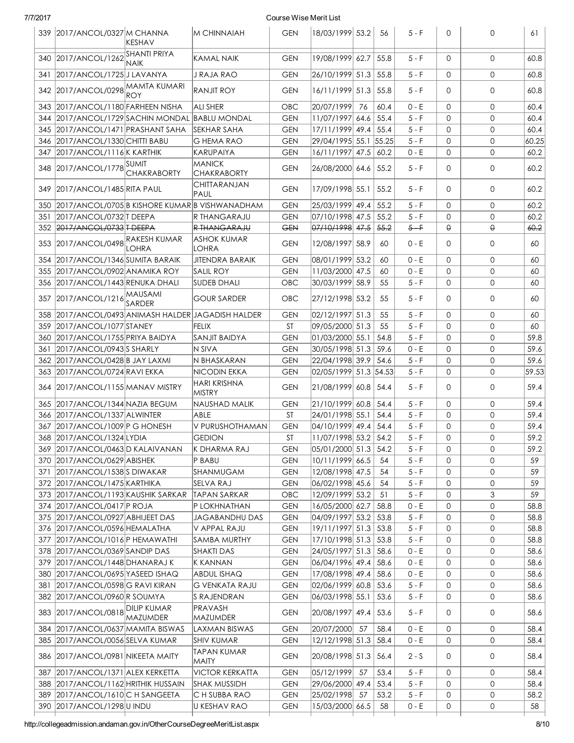|  | 7/7/201 | , |
|--|---------|---|
|  |         |   |

#### Course Wise Merit List

|      | 339 2017/ANCOL/0327 M CHANNA                   | IKESHAV            | M CHINNAIAH                                    | <b>GEN</b> | 18/03/1999 53.2       |    | -56   | $5 - F$ | 0           | 0                   | 61    |
|------|------------------------------------------------|--------------------|------------------------------------------------|------------|-----------------------|----|-------|---------|-------------|---------------------|-------|
|      | 340 2017/ANCOL/1262 SHANTI PRIYA               | <b>NAIK</b>        | <b>KAMAL NAIK</b>                              | <b>GEN</b> | 19/08/1999 62.7       |    | 55.8  | $5 - F$ | $\Omega$    | $\Omega$            | 60.8  |
| 341  | 2017/ANCOL/1725 JLAVANYA                       |                    | J RAJA RAO                                     | <b>GEN</b> | 26/10/1999 51.3       |    | 55.8  | $5 - F$ | 0           | 0                   | 60.8  |
| 342  | 2017/ANCOL/0298 MAMTA KUMARI                   | ROY                | <b>RANJIT ROY</b>                              | <b>GEN</b> | 16/11/1999 51.3       |    | 55.8  | $5 - F$ | 0           | 0                   | 60.8  |
|      | 343   2017/ANCOL/1180   FARHEEN NISHA          |                    | <b>ALI SHER</b>                                | OBC        | 20/07/1999            | 76 | 60.4  | $0 - E$ | $\mathbf 0$ | $\mathbf{0}$        | 60.4  |
| 344  | 2017/ANCOL/1729 SACHIN MONDAL                  |                    | <b>BABLU MONDAL</b>                            | <b>GEN</b> | 11/07/1997 64.6       |    | 55.4  | $5 - F$ | $\Omega$    | 0                   | 60.4  |
| 345  | 2017/ANCOL/1471 PRASHANT SAHA                  |                    | SEKHAR SAHA                                    | <b>GEN</b> | 17/11/1999 49.4       |    | 55.4  | $5 - F$ | $\mathbf 0$ | 0                   | 60.4  |
| 346. | 2017/ANCOL/1330 CHITTI BABU                    |                    | G HEMA RAO                                     | <b>GEN</b> | 29/04/1995 55.1       |    | 55.25 | $5 - F$ | $\mathbf 0$ | $\mathbf{0}$        | 60.25 |
| 347. | 2017/ANCOL/1116 K KARTHIK                      |                    | KARUPAIYA                                      | <b>GEN</b> | 16/11/1997 47.5       |    | 60.2  | 0 - E   | $\mathbf 0$ | 0                   | 60.2  |
|      | 348 2017/ANCOL/1778 SUMIT                      | <b>CHAKRABORTY</b> | MANICK<br><b>CHAKRABORTY</b>                   | <b>GEN</b> | 26/08/2000 64.6       |    | 55.2  | $5 - F$ | $\Omega$    | $\mathbf{0}$        | 60.2  |
|      | 349 2017/ANCOL/1485 RITA PAUL                  |                    | CHITTARANJAN<br>PAUL                           | <b>GEN</b> | 17/09/1998 55.1       |    | 55.2  | $5 - F$ | $\Omega$    | 0                   | 60.2  |
| 350  |                                                |                    | 2017/ANCOL/0705 B KISHORE KUMAR B VISHWANADHAM | GEN        | 25/03/1999 49.4       |    | 55.2  | $5 - F$ | $\mathbf 0$ | $\mathbf{0}$        | 60.2  |
| 351  | 2017/ANCOL/0732 TDEEPA                         |                    | R THANGARAJU                                   | <b>GEN</b> | 07/10/1998 47.5       |    | 55.2  | $5 - F$ | $\mathbf 0$ | 0                   | 60.2  |
|      | 352 2017/ANCOL/0733 T DEEPA                    |                    | R THANGARAJU                                   | <b>GEN</b> | 07/10/1998 47.5       |    | 55.2  | $5 - F$ | $\Theta$    | $\Theta$            | 60.2  |
| 353  | 2017/ANCOL/0498 RAKESH KUMAR                   | LOHRA              | <b>ASHOK KUMAR</b><br><b>LOHRA</b>             | GEN        | 12/08/1997 58.9       |    | 60    | 0 - E   | 0           | $\mathbf{0}$        | 60    |
| 354  | 2017/ANCOL/1346 SUMITA BARAIK                  |                    | JITENDRA BARAIK                                | <b>GEN</b> | 08/01/1999 53.2       |    | 60    | 0 - E   | $\mathbf 0$ | $\mathbf{0}$        | 60    |
|      | 355 2017/ANCOL/0902 ANAMIKA ROY                |                    | <b>SALIL ROY</b>                               | <b>GEN</b> | 11/03/2000 47.5       |    | 60    | $0 - E$ | $\mathbf 0$ | $\mathbf{0}$        | 60    |
|      | 356 2017/ANCOL/1443 RENUKA DHALI               |                    | SUDEB DHALI                                    | <b>OBC</b> | 30/03/1999 58.9       |    | 55    | $5 - F$ | $\mathbf 0$ | 0                   | 60    |
| 357  | 2017/ANCOL/1216 MAUSAMI                        | SARDER             | <b>GOUR SARDER</b>                             | OBC        | 27/12/1998 53.2       |    | 55    | $5 - F$ | 0           | $\mathbf{0}$        | 60    |
| 358  | 2017/ANCOL/0493 ANIMASH HALDER JAGADISH HALDER |                    |                                                | GEN        | 02/12/1997 51.3       |    | 55    | $5 - F$ | $\mathbf 0$ | 0                   | 60    |
| 359  | 2017/ANCOL/1077 STANEY                         |                    | FELIX                                          | ST         | 09/05/2000 51.3       |    | 55    | 5 - F   | 0           | $\mathbf{0}$        | 60    |
| 360  | 2017/ANCOL/1755 PRIYA BAIDYA                   |                    | SANJIT BAIDYA                                  | <b>GEN</b> | 01/03/2000 55.1       |    | 54.8  | $5 - F$ | $\mathbf 0$ | $\mathbf{0}$        | 59.8  |
| 361  | 2017/ANCOL/0943 S SHARLY                       |                    | N SIVA                                         | GEN        | 30/05/1998 51.3       |    | 59.6  | 0 - E   | $\mathbf 0$ | $\mathbf{O}$        | 59.6  |
| 362  | 2017/ANCOL/0428 B JAY LAXMI                    |                    | N BHASKARAN                                    | <b>GEN</b> | 22/04/1998 39.9       |    | 54.6  | $5 - F$ | $\mathbf 0$ | 0                   | 59.6  |
| 363. | 2017/ANCOL/0724 RAVI EKKA                      |                    | NICODIN EKKA                                   | GEN        | 02/05/1999 51.3 54.53 |    |       | $5 - F$ | $\mathbf 0$ | 0                   | 59.53 |
|      | 364   2017/ANCOL/1155  MANAV MISTRY            |                    | HARI KRISHNA<br>MISTRY                         | <b>GEN</b> | 21/08/1999  60.8      |    | 54.4  | $5 - F$ | 0           | 0                   | 59.4  |
|      | 365 2017/ANCOL/1344 NAZIA BEGUM                |                    | <b>NAUSHAD MALIK</b>                           | GEN        | 21/10/1999 60.8       |    | 54.4  | $5 - F$ | $\mathbf 0$ | 0                   | 59.4  |
|      | 366 2017/ANCOL/1337 ALWINTER                   |                    | ABLE                                           | <b>ST</b>  | 24/01/1998 55.1       |    | 54.4  | $5 - F$ | $\mathbf 0$ | $\mathbf{0}$        | 59.4  |
|      | 367   2017/ANCOL/1009   P G HONESH             |                    | V PURUSHOTHAMAN                                | GEN        | 04/10/1999 49.4       |    | 54.4  | $5 - F$ | $\mathbf 0$ | 0                   | 59.4  |
|      | 368 2017/ANCOL/1324 LYDIA                      |                    | <b>GEDION</b>                                  | <b>ST</b>  | 11/07/1998 53.2 54.2  |    |       | $5 - F$ | $\mathbf 0$ | $\Omega$            | 59.2  |
|      | 369 2017/ANCOL/0463 D KALAIVANAN               |                    | K DHARMA RAJ                                   | <b>GEN</b> | 05/01/2000 51.3       |    | 54.2  | $5 - F$ | 0           | 0                   | 59.2  |
|      | 370 2017/ANCOL/0629 ABISHEK                    |                    | P BABU                                         | <b>GEN</b> | 10/11/1999 66.5       |    | 54    | $5 - F$ | $\mathbf 0$ | $\mathsf{O}$        | 59    |
|      | 371 2017/ANCOL/1538 S DIWAKAR                  |                    | SHANMUGAM                                      | <b>GEN</b> | 12/08/1998 47.5       |    | 54    | $5 - F$ | 0           | $\mathsf{O}\xspace$ | 59    |
|      | 372 2017/ANCOL/1475 KARTHIKA                   |                    | SELVA RAJ                                      | <b>GEN</b> | 06/02/1998 45.6       |    | 54    | $5 - F$ | 0           | $\mathsf{O}$        | 59    |
|      | 373 2017/ANCOL/1193 KAUSHIK SARKAR             |                    | <b>TAPAN SARKAR</b>                            | OBC        | 12/09/1999 53.2       |    | 51    | $5 - F$ | $\mathbf 0$ | 3                   | 59    |
|      | 374 2017/ANCOL/0417 P ROJA                     |                    | P LOKHNATHAN                                   | <b>GEN</b> | 16/05/2000 62.7       |    | 58.8  | $0 - E$ | 0           | $\mathsf{O}\xspace$ | 58.8  |
|      | 375 2017/ANCOL/0927 ABHIJEET DAS               |                    | <b>JAGABANDHU DAS</b>                          | <b>GEN</b> | 04/09/1997 53.2       |    | 53.8  | $5 - F$ | 0           | $\mathsf{O}$        | 58.8  |
|      | 376 2017/ANCOL/0596 HEMALATHA                  |                    | V APPAL RAJU                                   | <b>GEN</b> | 19/11/1997 51.3       |    | 53.8  | $5 - F$ | 0           | 0                   | 58.8  |
| 377  | 2017/ANCOL/1016 P HEMAWATHI                    |                    | SAMBA MURTHY                                   | <b>GEN</b> | 17/10/1998 51.3       |    | 53.8  | $5 - F$ | 0           | 0                   | 58.8  |
|      |                                                |                    |                                                |            |                       |    |       |         |             |                     |       |
| 378  | 2017/ANCOL/0369 SANDIP DAS                     |                    | <b>SHAKTI DAS</b>                              | <b>GEN</b> | 24/05/1997 51.3       |    | 58.6  | $0 - E$ | 0           | 0                   | 58.6  |
| 379  | 2017/ANCOL/1448 DHANARAJ K                     |                    | <b>K KANNAN</b>                                | <b>GEN</b> | 06/04/1996 49.4       |    | 58.6  | $0 - E$ | 0           | 0                   | 58.6  |
| 380  | 2017/ANCOL/0695 YASEED ISHAQ                   |                    | <b>ABDUL ISHAQ</b>                             | <b>GEN</b> | 17/08/1998 49.4       |    | 58.6  | $0 - E$ | 0           | 0                   | 58.6  |
| 381  | 2017/ANCOL/0598 G RAVI KIRAN                   |                    | <b>G VENKATA RAJU</b>                          | <b>GEN</b> | 02/06/1999 60.8       |    | 53.6  | $5 - F$ | 0           | 0                   | 58.6  |
|      | 382 2017/ANCOL/0960 R SOUMYA                   |                    | S RAJENDRAN                                    | <b>GEN</b> | 06/03/1998 55.1       |    | 53.6  | $5 - F$ | 0           | 0                   | 58.6  |
|      | 383 2017/ANCOL/0818 DILIP KUMAR                | MAZUMDER           | PRAVASH<br>MAZUMDER                            | <b>GEN</b> | 20/08/1997 49.4       |    | 53.6  | $5 - F$ | 0           | $\mathsf{O}$        | 58.6  |
|      | 384 2017/ANCOL/0637 MAMITA BISWAS              |                    | LAXMAN BISWAS                                  | <b>GEN</b> | 20/07/2000            | 57 | 58.4  | $0 - E$ | 0           | $\mathsf{O}$        | 58.4  |
|      | 385 2017/ANCOL/0056 SELVA KUMAR                |                    | SHIV KUMAR                                     | GEN        | 12/12/1998 51.3       |    | 58.4  | $0 - E$ | $\mathbf 0$ | 0                   | 58.4  |
|      | 386   2017/ANCOL/0981   NIKEETA MAITY          |                    | <b>TAPAN KUMAR</b><br><b>MAITY</b>             | <b>GEN</b> | 20/08/1998 51.3       |    | 56.4  | $2 - S$ | 0           | 0                   | 58.4  |
| 387  | 2017/ANCOL/1371 ALEX KERKETTA                  |                    | <b>VICTOR KERKATTA</b>                         | <b>GEN</b> | 05/12/1999            | 57 | 53.4  | $5 - F$ | 0           | 0                   | 58.4  |
| 388  | 2017/ANCOL/1162 HRITHIK HUSSAIN                |                    | <b>SHAK MUSSIDH</b>                            | <b>GEN</b> | 29/06/2000 49.4       |    | 53.4  | $5 - F$ | 0           | 0                   | 58.4  |
| 389  | 2017/ANCOL/1610C H SANGEETA                    |                    | C H SUBBA RAO                                  | <b>GEN</b> | 25/02/1998            | 57 | 53.2  | $5 - F$ | 0           | 0                   | 58.2  |
|      | 390 2017/ANCOL/1298 U INDU                     |                    | U KESHAV RAO                                   | <b>GEN</b> | 15/03/2000 66.5       |    | 58    | $0 - E$ | 0           | 0                   | 58    |
|      |                                                |                    |                                                |            |                       |    |       |         |             |                     |       |

http://collegeadmission.andaman.gov.in/OtherCourseDegreeMeritList.aspx 8/10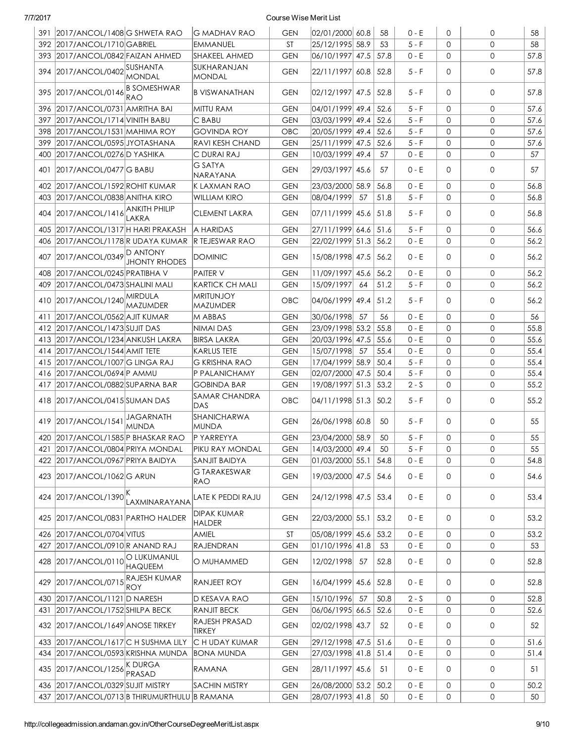| 58<br>392 2017/ANCOL/1710 GABRIEL<br><b>ST</b><br>25/12/1995 58.9<br>53<br>$5-F$<br>$\mathbf 0$<br>0<br>IEMMANUEL<br>$\Omega$<br>0<br>57.8<br>393 2017/ANCOL/0842 FAIZAN AHMED<br>SHAKEEL AHMED<br><b>GEN</b><br>$ 06/10/1997 $ 47.5<br>57.8<br>$0 - E$<br>SUKHARANJAN<br>394 2017/ANCOL/0402 SUSHANTA<br>57.8<br>22/11/1997 60.8<br>$5-F$<br>$\Omega$<br>0<br><b>GEN</b><br>52.8<br><b>MONDAL</b><br><b>MONDAL</b><br><b>B SOMESHWAR</b><br>395 2017/ANCOL/0146<br>02/12/1997 47.5<br>$\mathbf 0$<br>57.8<br><b>B VISWANATHAN</b><br><b>GEN</b><br>52.8<br>$5 - F$<br>$\Omega$<br>RAO<br>57.6<br>04/01/1999 49.4<br>52.6<br>$5 - F$<br>$\Omega$<br>0<br>396<br> 2017/ANCOL/0731 AMRITHA BAI<br>MITTU RAM<br>GEN<br><b>GEN</b><br>52.6<br>$5 - F$<br>0<br>57.6<br>397<br>2017/ANCOL/1714 VINITH BABU<br>IC BABU<br>03/03/1999 49.4<br>$\Omega$<br>52.6<br>$5 - F$<br>$\mathbf 0$<br>57.6<br>398   2017/ANCOL/1531   MAHIMA ROY<br><b>GOVINDA ROY</b><br>OBC<br> 20/05/1999  49.4<br>$\Omega$<br>2017/ANCOL/0595 JYOTASHANA<br>$5 - F$<br>$\mathbf 0$<br>57.6<br>399<br>IRAVI KESH CHAND<br>GEN<br> 25/11/1999  47.5<br>52.6<br>$\Omega$<br>$\mathbf 0$<br>57<br>2017/ANCOL/0276D YASHIKA<br>IC DURAI RAJ<br><b>GEN</b><br>10/03/1999 49.4<br>57<br>$0 - E$<br>0<br>400<br><b>G SATYA</b><br>2017/ANCOL/0477 G BABU<br>29/03/1997 45.6<br>0<br>57<br><b>GEN</b><br>57<br>$0 - E$<br>$\Omega$<br>401<br>NARAYANA<br>$\mathsf{O}$<br>402 2017/ANCOL/1592 ROHIT KUMAR<br>23/03/2000 58.9<br>56.8<br>$0 - E$<br>$\mathbf 0$<br>56.8<br>IK LAXMAN RAO<br><b>GEN</b><br>56.8<br>2017/ANCOL/0838 ANITHA KIRO<br>08/04/1999<br>51.8<br>$5 - F$<br>$\mathbf 0$<br>0<br>403<br>WILLIAM KIRO<br><b>GEN</b><br>57<br><b>ANKITH PHILIP</b><br>2017/ANCOL/1416<br>56.8<br>404<br><b>CLEMENT LAKRA</b><br>07/11/1999 45.6<br>$\Omega$<br>0<br><b>GEN</b><br>51.8<br>$5 - F$<br>LAKRA<br>$5 - F$<br>0<br>56.6<br>405<br>2017/ANCOL/1317 H HARI PRAKASH<br>A HARIDAS<br><b>GEN</b><br>27/11/1999 64.6<br>51.6<br>$\mathbf 0$<br>56.2<br>2017/ANCOL/1178R UDAYA KUMAR<br>56.2<br>$0 - E$<br>$\Omega$<br>0<br><b>IR TEJESWAR RAO</b><br><b>GEN</b><br>22/02/1999 51.3<br>406<br>2017/ANCOL/0349 D ANTONY<br>56.2<br>407<br>15/08/1998 47.5<br>DOMINIC<br><b>GEN</b><br>56.2<br>$0 - E$<br>$\Omega$<br>0<br><b>JHONTY RHODES</b><br>56.2<br>2017/ANCOL/0245 PRATIBHA V<br>11/09/1997 45.6<br>56.2<br>$\mathbf 0$<br>0<br>408<br><b>PAITER V</b><br>GEN<br>$0 - E$<br>2017/ANCOL/0473 SHALINI MALI<br>15/09/1997<br>51.2<br>$5 - F$<br>$\Omega$<br>0<br>56.2<br>409<br> KARTICK CH MALI<br><b>GEN</b><br>64<br><b>MRITUNJOY</b><br>410 2017/ANCOL/1240 MIRDULA<br>56.2<br>04/06/1999 49.4<br>OBC<br>51.2<br>$5-F$<br>$\Omega$<br>0<br>MAZUMDER<br><b>MAZUMDER</b><br>56<br>30/06/1998<br>57<br>56<br>$\mathbf 0$<br>0<br>2017/ANCOL/0562 AJIT KUMAR<br>M ABBAS<br>GEN<br>$0 - E$<br>411<br>412 2017/ANCOL/1473 SUJIT DAS<br>23/09/1998 53.2<br>55.8<br>$0 - E$<br>$\Omega$<br>0<br>55.8<br>NIMAI DAS<br>GEN<br>0<br>55.6<br>2017/ANCOL/1234 ANKUSH LAKRA<br><b>GEN</b><br>20/03/1996 47.5<br>55.6<br>$0 - E$<br>0<br>413<br>BIRSA LAKRA<br>$0 - E$<br>0<br>55.4<br><b>GEN</b><br>15/07/1998<br>57<br>55.4<br>$\mathbf 0$<br>2017/ANCOL/1544 AMIT TETE<br>KARLUS TETE<br>414<br>$5 - F$<br>2017/ANCOL/1007 G LINGA RAJ<br>17/04/1999 58.9<br>50.4<br>$\Omega$<br>$\mathbf{O}$<br>55.4<br>415<br>IG KRISHNA RAO<br>GEN<br>02/07/2000 47.5<br>$5 - F$<br>$\mathbf 0$<br>$\mathbf{O}$<br>55.4<br>2017/ANCOL/0694 P AMMU<br><b>P PALANICHAMY</b><br><b>GEN</b><br>50.4<br>416<br>55.2<br>2017/ANCOL/0882 SUPARNA BAR<br>$\mathbf 0$<br>$\mathbf{O}$<br>417<br>GOBINDA BAR<br>GEN<br>19/08/1997 51.3<br>53.2<br>$2 - S$<br>SAMAR CHANDRA<br>55.2<br>418 2017/ANCOL/0415 SUMAN DAS<br>OBC<br>04/11/1998 51.3<br>$\mathbf 0$<br>0<br>50.2<br>$5-F$<br><b>DAS</b><br>SHANICHARWA<br><b>JAGARNATH</b><br>419 2017/ANCOL/1541<br>$\mathbf 0$<br>55<br><b>GEN</b><br>26/06/1998 60.8<br>50<br>$5-F$<br>0<br><b>MUNDA</b><br><b>MUNDA</b><br>55<br>23/04/2000 58.9<br>$5 - F$<br>420   2017/ANCOL/1585   P BHASKAR RAO<br>P YARREYYA<br><b>GEN</b><br>50<br>$\Omega$<br>0<br>$5 - F$<br>14/03/2000 49.4<br>0<br>0<br>55<br>421 2017/ANCOL/0804 PRIYA MONDAL<br>PIKU RAY MONDAL<br><b>GEN</b><br>50<br>422 2017/ANCOL/0967 PRIYA BAIDYA<br> 01/03/2000 55.1<br>$0 - E$<br>0<br>54.8<br><b>SANJIT BAIDYA</b><br><b>GEN</b><br>54.8<br>$\mathbf 0$<br><b>G TARAKESWAR</b><br>423 2017/ANCOL/1062 G ARUN<br><b>GEN</b><br>19/03/2000 47.5 54.6<br>$0 - E$<br>0<br>54.6<br>0<br>RAO<br>424 2017/ANCOL/1390<br>LATE K PEDDI RAJU<br>24/12/1998 47.5 53.4<br>$0 - E$<br>0<br>0<br>53.4<br><b>GEN</b><br>LAXMINARAYANA<br>DIPAK KUMAR<br>53.2<br>425 2017/ANCOL/0831 PARTHO HALDER<br><b>GEN</b><br> 53.2 <br>$0 - E$<br>$\mathbf 0$<br>0<br>22/03/2000 55.1<br><b>HALDER</b><br>ST<br>$ 05/08/1999 $ 45.6 $ 53.2$<br>$0 - E$<br>426 2017/ANCOL/0704 VITUS<br><b>AMIEL</b><br>$\mathbf 0$<br>0<br>53.2<br>2017/ANCOL/0910 R ANAND RAJ<br>$0 - E$<br>0<br>RAJENDRAN<br><b>GEN</b><br> 01/10/1996 41.8<br>53<br>0<br>53<br>427<br>O LUKUMANUL<br>428 2017/ANCOL/0110<br>12/02/1998<br>0<br>52.8<br>O MUHAMMED<br><b>GEN</b><br>57<br>52.8<br>0 - E<br>0<br><b>HAQUEEM</b><br>2017/ANCOL/0715 RAJESH KUMAR<br><b>RANJEET ROY</b><br>$0 - E$<br>$\mathbf 0$<br>0<br>52.8<br>429<br><b>GEN</b><br>16/04/1999  45.6   52.8<br><b>ROY</b><br>430 2017/ANCOL/1121 D NARESH<br><b>GEN</b><br>15/10/1996<br>50.8<br>$2 - S$<br>0<br>0<br>52.8<br>D KESAVA RAO<br>57<br><b>RANJIT BECK</b><br>2017/ANCOL/1752 SHILPA BECK<br><b>GEN</b><br>06/06/1995 66.5<br> 52.6<br>$0 - E$<br>0<br>0<br>52.6<br>431<br><b>RAJESH PRASAD</b><br>432 2017/ANCOL/1649 ANOSE TIRKEY<br>0<br>52<br><b>GEN</b><br>02/02/1998 43.7<br>52<br>0 - E<br>0<br><b>TIRKEY</b><br>29/12/1998 47.5 51.6<br>$0 - E$<br>$\mathbf{O}$<br>0<br>433 2017/ANCOL/1617 C H SUSHMA LILY<br>C H UDAY KUMAR<br>51.6<br><b>GEN</b><br>434 2017/ANCOL/0593 KRISHNA MUNDA<br><b>GEN</b><br>27/03/1998 41.8 51.4<br>$0 - E$<br>$\mathbf 0$<br>0<br>51.4<br>BONA MUNDA<br>435 2017/ANCOL/1256 K DURGA<br>0<br>RAMANA<br><b>GEN</b><br>28/11/1997 45.6<br>51<br>0 - E<br>0<br>51<br>PRASAD<br>436 2017/ANCOL/0329 SUJIT MISTRY<br>26/08/2000 53.2<br> 50.2<br>$0 - E$<br>$\mathbf 0$<br>0<br><b>SACHIN MISTRY</b><br><b>GEN</b><br>50.2<br>437 2017/ANCOL/0713 B THIRUMURTHULU B RAMANA<br>$0 - E$<br>$\mathbf 0$<br>$\mathsf{O}$<br>50<br><b>GEN</b><br>28/07/1993 41.8<br>50 | 391 2017/ANCOL/1408 G SHWETA RAO | <b>IG MADHAV RAO</b> | GEN | 02/01/2000 60.8 | 58 | $0 - E$ | $\Omega$ | 0 | 58 |
|------------------------------------------------------------------------------------------------------------------------------------------------------------------------------------------------------------------------------------------------------------------------------------------------------------------------------------------------------------------------------------------------------------------------------------------------------------------------------------------------------------------------------------------------------------------------------------------------------------------------------------------------------------------------------------------------------------------------------------------------------------------------------------------------------------------------------------------------------------------------------------------------------------------------------------------------------------------------------------------------------------------------------------------------------------------------------------------------------------------------------------------------------------------------------------------------------------------------------------------------------------------------------------------------------------------------------------------------------------------------------------------------------------------------------------------------------------------------------------------------------------------------------------------------------------------------------------------------------------------------------------------------------------------------------------------------------------------------------------------------------------------------------------------------------------------------------------------------------------------------------------------------------------------------------------------------------------------------------------------------------------------------------------------------------------------------------------------------------------------------------------------------------------------------------------------------------------------------------------------------------------------------------------------------------------------------------------------------------------------------------------------------------------------------------------------------------------------------------------------------------------------------------------------------------------------------------------------------------------------------------------------------------------------------------------------------------------------------------------------------------------------------------------------------------------------------------------------------------------------------------------------------------------------------------------------------------------------------------------------------------------------------------------------------------------------------------------------------------------------------------------------------------------------------------------------------------------------------------------------------------------------------------------------------------------------------------------------------------------------------------------------------------------------------------------------------------------------------------------------------------------------------------------------------------------------------------------------------------------------------------------------------------------------------------------------------------------------------------------------------------------------------------------------------------------------------------------------------------------------------------------------------------------------------------------------------------------------------------------------------------------------------------------------------------------------------------------------------------------------------------------------------------------------------------------------------------------------------------------------------------------------------------------------------------------------------------------------------------------------------------------------------------------------------------------------------------------------------------------------------------------------------------------------------------------------------------------------------------------------------------------------------------------------------------------------------------------------------------------------------------------------------------------------------------------------------------------------------------------------------------------------------------------------------------------------------------------------------------------------------------------------------------------------------------------------------------------------------------------------------------------------------------------------------------------------------------------------------------------------------------------------------------------------------------------------------------------------------------------------------------------------------------------------------------------------------------------------------------------------------------------------------------------------------------------------------------------------------------------------------------------------------------------------------------------------------------------------------------------------------------------------------------------------------------------------------------------------------------------------------------------------------------------------------------------------------------------------------------------------------------------------------------------------------------------------------------------------------------------------------------------------------------------------------------------------------------------------------------------------------------------------------------------------------------------------------------------------------------------------------------------------------------------------------------------------------------------------------------|----------------------------------|----------------------|-----|-----------------|----|---------|----------|---|----|
|                                                                                                                                                                                                                                                                                                                                                                                                                                                                                                                                                                                                                                                                                                                                                                                                                                                                                                                                                                                                                                                                                                                                                                                                                                                                                                                                                                                                                                                                                                                                                                                                                                                                                                                                                                                                                                                                                                                                                                                                                                                                                                                                                                                                                                                                                                                                                                                                                                                                                                                                                                                                                                                                                                                                                                                                                                                                                                                                                                                                                                                                                                                                                                                                                                                                                                                                                                                                                                                                                                                                                                                                                                                                                                                                                                                                                                                                                                                                                                                                                                                                                                                                                                                                                                                                                                                                                                                                                                                                                                                                                                                                                                                                                                                                                                                                                                                                                                                                                                                                                                                                                                                                                                                                                                                                                                                                                                                                                                                                                                                                                                                                                                                                                                                                                                                                                                                                                                                                                                                                                                                                                                                                                                                                                                                                                                                                                                                                                                                                              |                                  |                      |     |                 |    |         |          |   |    |
|                                                                                                                                                                                                                                                                                                                                                                                                                                                                                                                                                                                                                                                                                                                                                                                                                                                                                                                                                                                                                                                                                                                                                                                                                                                                                                                                                                                                                                                                                                                                                                                                                                                                                                                                                                                                                                                                                                                                                                                                                                                                                                                                                                                                                                                                                                                                                                                                                                                                                                                                                                                                                                                                                                                                                                                                                                                                                                                                                                                                                                                                                                                                                                                                                                                                                                                                                                                                                                                                                                                                                                                                                                                                                                                                                                                                                                                                                                                                                                                                                                                                                                                                                                                                                                                                                                                                                                                                                                                                                                                                                                                                                                                                                                                                                                                                                                                                                                                                                                                                                                                                                                                                                                                                                                                                                                                                                                                                                                                                                                                                                                                                                                                                                                                                                                                                                                                                                                                                                                                                                                                                                                                                                                                                                                                                                                                                                                                                                                                                              |                                  |                      |     |                 |    |         |          |   |    |
|                                                                                                                                                                                                                                                                                                                                                                                                                                                                                                                                                                                                                                                                                                                                                                                                                                                                                                                                                                                                                                                                                                                                                                                                                                                                                                                                                                                                                                                                                                                                                                                                                                                                                                                                                                                                                                                                                                                                                                                                                                                                                                                                                                                                                                                                                                                                                                                                                                                                                                                                                                                                                                                                                                                                                                                                                                                                                                                                                                                                                                                                                                                                                                                                                                                                                                                                                                                                                                                                                                                                                                                                                                                                                                                                                                                                                                                                                                                                                                                                                                                                                                                                                                                                                                                                                                                                                                                                                                                                                                                                                                                                                                                                                                                                                                                                                                                                                                                                                                                                                                                                                                                                                                                                                                                                                                                                                                                                                                                                                                                                                                                                                                                                                                                                                                                                                                                                                                                                                                                                                                                                                                                                                                                                                                                                                                                                                                                                                                                                              |                                  |                      |     |                 |    |         |          |   |    |
|                                                                                                                                                                                                                                                                                                                                                                                                                                                                                                                                                                                                                                                                                                                                                                                                                                                                                                                                                                                                                                                                                                                                                                                                                                                                                                                                                                                                                                                                                                                                                                                                                                                                                                                                                                                                                                                                                                                                                                                                                                                                                                                                                                                                                                                                                                                                                                                                                                                                                                                                                                                                                                                                                                                                                                                                                                                                                                                                                                                                                                                                                                                                                                                                                                                                                                                                                                                                                                                                                                                                                                                                                                                                                                                                                                                                                                                                                                                                                                                                                                                                                                                                                                                                                                                                                                                                                                                                                                                                                                                                                                                                                                                                                                                                                                                                                                                                                                                                                                                                                                                                                                                                                                                                                                                                                                                                                                                                                                                                                                                                                                                                                                                                                                                                                                                                                                                                                                                                                                                                                                                                                                                                                                                                                                                                                                                                                                                                                                                                              |                                  |                      |     |                 |    |         |          |   |    |
|                                                                                                                                                                                                                                                                                                                                                                                                                                                                                                                                                                                                                                                                                                                                                                                                                                                                                                                                                                                                                                                                                                                                                                                                                                                                                                                                                                                                                                                                                                                                                                                                                                                                                                                                                                                                                                                                                                                                                                                                                                                                                                                                                                                                                                                                                                                                                                                                                                                                                                                                                                                                                                                                                                                                                                                                                                                                                                                                                                                                                                                                                                                                                                                                                                                                                                                                                                                                                                                                                                                                                                                                                                                                                                                                                                                                                                                                                                                                                                                                                                                                                                                                                                                                                                                                                                                                                                                                                                                                                                                                                                                                                                                                                                                                                                                                                                                                                                                                                                                                                                                                                                                                                                                                                                                                                                                                                                                                                                                                                                                                                                                                                                                                                                                                                                                                                                                                                                                                                                                                                                                                                                                                                                                                                                                                                                                                                                                                                                                                              |                                  |                      |     |                 |    |         |          |   |    |
|                                                                                                                                                                                                                                                                                                                                                                                                                                                                                                                                                                                                                                                                                                                                                                                                                                                                                                                                                                                                                                                                                                                                                                                                                                                                                                                                                                                                                                                                                                                                                                                                                                                                                                                                                                                                                                                                                                                                                                                                                                                                                                                                                                                                                                                                                                                                                                                                                                                                                                                                                                                                                                                                                                                                                                                                                                                                                                                                                                                                                                                                                                                                                                                                                                                                                                                                                                                                                                                                                                                                                                                                                                                                                                                                                                                                                                                                                                                                                                                                                                                                                                                                                                                                                                                                                                                                                                                                                                                                                                                                                                                                                                                                                                                                                                                                                                                                                                                                                                                                                                                                                                                                                                                                                                                                                                                                                                                                                                                                                                                                                                                                                                                                                                                                                                                                                                                                                                                                                                                                                                                                                                                                                                                                                                                                                                                                                                                                                                                                              |                                  |                      |     |                 |    |         |          |   |    |
|                                                                                                                                                                                                                                                                                                                                                                                                                                                                                                                                                                                                                                                                                                                                                                                                                                                                                                                                                                                                                                                                                                                                                                                                                                                                                                                                                                                                                                                                                                                                                                                                                                                                                                                                                                                                                                                                                                                                                                                                                                                                                                                                                                                                                                                                                                                                                                                                                                                                                                                                                                                                                                                                                                                                                                                                                                                                                                                                                                                                                                                                                                                                                                                                                                                                                                                                                                                                                                                                                                                                                                                                                                                                                                                                                                                                                                                                                                                                                                                                                                                                                                                                                                                                                                                                                                                                                                                                                                                                                                                                                                                                                                                                                                                                                                                                                                                                                                                                                                                                                                                                                                                                                                                                                                                                                                                                                                                                                                                                                                                                                                                                                                                                                                                                                                                                                                                                                                                                                                                                                                                                                                                                                                                                                                                                                                                                                                                                                                                                              |                                  |                      |     |                 |    |         |          |   |    |
|                                                                                                                                                                                                                                                                                                                                                                                                                                                                                                                                                                                                                                                                                                                                                                                                                                                                                                                                                                                                                                                                                                                                                                                                                                                                                                                                                                                                                                                                                                                                                                                                                                                                                                                                                                                                                                                                                                                                                                                                                                                                                                                                                                                                                                                                                                                                                                                                                                                                                                                                                                                                                                                                                                                                                                                                                                                                                                                                                                                                                                                                                                                                                                                                                                                                                                                                                                                                                                                                                                                                                                                                                                                                                                                                                                                                                                                                                                                                                                                                                                                                                                                                                                                                                                                                                                                                                                                                                                                                                                                                                                                                                                                                                                                                                                                                                                                                                                                                                                                                                                                                                                                                                                                                                                                                                                                                                                                                                                                                                                                                                                                                                                                                                                                                                                                                                                                                                                                                                                                                                                                                                                                                                                                                                                                                                                                                                                                                                                                                              |                                  |                      |     |                 |    |         |          |   |    |
|                                                                                                                                                                                                                                                                                                                                                                                                                                                                                                                                                                                                                                                                                                                                                                                                                                                                                                                                                                                                                                                                                                                                                                                                                                                                                                                                                                                                                                                                                                                                                                                                                                                                                                                                                                                                                                                                                                                                                                                                                                                                                                                                                                                                                                                                                                                                                                                                                                                                                                                                                                                                                                                                                                                                                                                                                                                                                                                                                                                                                                                                                                                                                                                                                                                                                                                                                                                                                                                                                                                                                                                                                                                                                                                                                                                                                                                                                                                                                                                                                                                                                                                                                                                                                                                                                                                                                                                                                                                                                                                                                                                                                                                                                                                                                                                                                                                                                                                                                                                                                                                                                                                                                                                                                                                                                                                                                                                                                                                                                                                                                                                                                                                                                                                                                                                                                                                                                                                                                                                                                                                                                                                                                                                                                                                                                                                                                                                                                                                                              |                                  |                      |     |                 |    |         |          |   |    |
|                                                                                                                                                                                                                                                                                                                                                                                                                                                                                                                                                                                                                                                                                                                                                                                                                                                                                                                                                                                                                                                                                                                                                                                                                                                                                                                                                                                                                                                                                                                                                                                                                                                                                                                                                                                                                                                                                                                                                                                                                                                                                                                                                                                                                                                                                                                                                                                                                                                                                                                                                                                                                                                                                                                                                                                                                                                                                                                                                                                                                                                                                                                                                                                                                                                                                                                                                                                                                                                                                                                                                                                                                                                                                                                                                                                                                                                                                                                                                                                                                                                                                                                                                                                                                                                                                                                                                                                                                                                                                                                                                                                                                                                                                                                                                                                                                                                                                                                                                                                                                                                                                                                                                                                                                                                                                                                                                                                                                                                                                                                                                                                                                                                                                                                                                                                                                                                                                                                                                                                                                                                                                                                                                                                                                                                                                                                                                                                                                                                                              |                                  |                      |     |                 |    |         |          |   |    |
|                                                                                                                                                                                                                                                                                                                                                                                                                                                                                                                                                                                                                                                                                                                                                                                                                                                                                                                                                                                                                                                                                                                                                                                                                                                                                                                                                                                                                                                                                                                                                                                                                                                                                                                                                                                                                                                                                                                                                                                                                                                                                                                                                                                                                                                                                                                                                                                                                                                                                                                                                                                                                                                                                                                                                                                                                                                                                                                                                                                                                                                                                                                                                                                                                                                                                                                                                                                                                                                                                                                                                                                                                                                                                                                                                                                                                                                                                                                                                                                                                                                                                                                                                                                                                                                                                                                                                                                                                                                                                                                                                                                                                                                                                                                                                                                                                                                                                                                                                                                                                                                                                                                                                                                                                                                                                                                                                                                                                                                                                                                                                                                                                                                                                                                                                                                                                                                                                                                                                                                                                                                                                                                                                                                                                                                                                                                                                                                                                                                                              |                                  |                      |     |                 |    |         |          |   |    |
|                                                                                                                                                                                                                                                                                                                                                                                                                                                                                                                                                                                                                                                                                                                                                                                                                                                                                                                                                                                                                                                                                                                                                                                                                                                                                                                                                                                                                                                                                                                                                                                                                                                                                                                                                                                                                                                                                                                                                                                                                                                                                                                                                                                                                                                                                                                                                                                                                                                                                                                                                                                                                                                                                                                                                                                                                                                                                                                                                                                                                                                                                                                                                                                                                                                                                                                                                                                                                                                                                                                                                                                                                                                                                                                                                                                                                                                                                                                                                                                                                                                                                                                                                                                                                                                                                                                                                                                                                                                                                                                                                                                                                                                                                                                                                                                                                                                                                                                                                                                                                                                                                                                                                                                                                                                                                                                                                                                                                                                                                                                                                                                                                                                                                                                                                                                                                                                                                                                                                                                                                                                                                                                                                                                                                                                                                                                                                                                                                                                                              |                                  |                      |     |                 |    |         |          |   |    |
|                                                                                                                                                                                                                                                                                                                                                                                                                                                                                                                                                                                                                                                                                                                                                                                                                                                                                                                                                                                                                                                                                                                                                                                                                                                                                                                                                                                                                                                                                                                                                                                                                                                                                                                                                                                                                                                                                                                                                                                                                                                                                                                                                                                                                                                                                                                                                                                                                                                                                                                                                                                                                                                                                                                                                                                                                                                                                                                                                                                                                                                                                                                                                                                                                                                                                                                                                                                                                                                                                                                                                                                                                                                                                                                                                                                                                                                                                                                                                                                                                                                                                                                                                                                                                                                                                                                                                                                                                                                                                                                                                                                                                                                                                                                                                                                                                                                                                                                                                                                                                                                                                                                                                                                                                                                                                                                                                                                                                                                                                                                                                                                                                                                                                                                                                                                                                                                                                                                                                                                                                                                                                                                                                                                                                                                                                                                                                                                                                                                                              |                                  |                      |     |                 |    |         |          |   |    |
|                                                                                                                                                                                                                                                                                                                                                                                                                                                                                                                                                                                                                                                                                                                                                                                                                                                                                                                                                                                                                                                                                                                                                                                                                                                                                                                                                                                                                                                                                                                                                                                                                                                                                                                                                                                                                                                                                                                                                                                                                                                                                                                                                                                                                                                                                                                                                                                                                                                                                                                                                                                                                                                                                                                                                                                                                                                                                                                                                                                                                                                                                                                                                                                                                                                                                                                                                                                                                                                                                                                                                                                                                                                                                                                                                                                                                                                                                                                                                                                                                                                                                                                                                                                                                                                                                                                                                                                                                                                                                                                                                                                                                                                                                                                                                                                                                                                                                                                                                                                                                                                                                                                                                                                                                                                                                                                                                                                                                                                                                                                                                                                                                                                                                                                                                                                                                                                                                                                                                                                                                                                                                                                                                                                                                                                                                                                                                                                                                                                                              |                                  |                      |     |                 |    |         |          |   |    |
|                                                                                                                                                                                                                                                                                                                                                                                                                                                                                                                                                                                                                                                                                                                                                                                                                                                                                                                                                                                                                                                                                                                                                                                                                                                                                                                                                                                                                                                                                                                                                                                                                                                                                                                                                                                                                                                                                                                                                                                                                                                                                                                                                                                                                                                                                                                                                                                                                                                                                                                                                                                                                                                                                                                                                                                                                                                                                                                                                                                                                                                                                                                                                                                                                                                                                                                                                                                                                                                                                                                                                                                                                                                                                                                                                                                                                                                                                                                                                                                                                                                                                                                                                                                                                                                                                                                                                                                                                                                                                                                                                                                                                                                                                                                                                                                                                                                                                                                                                                                                                                                                                                                                                                                                                                                                                                                                                                                                                                                                                                                                                                                                                                                                                                                                                                                                                                                                                                                                                                                                                                                                                                                                                                                                                                                                                                                                                                                                                                                                              |                                  |                      |     |                 |    |         |          |   |    |
|                                                                                                                                                                                                                                                                                                                                                                                                                                                                                                                                                                                                                                                                                                                                                                                                                                                                                                                                                                                                                                                                                                                                                                                                                                                                                                                                                                                                                                                                                                                                                                                                                                                                                                                                                                                                                                                                                                                                                                                                                                                                                                                                                                                                                                                                                                                                                                                                                                                                                                                                                                                                                                                                                                                                                                                                                                                                                                                                                                                                                                                                                                                                                                                                                                                                                                                                                                                                                                                                                                                                                                                                                                                                                                                                                                                                                                                                                                                                                                                                                                                                                                                                                                                                                                                                                                                                                                                                                                                                                                                                                                                                                                                                                                                                                                                                                                                                                                                                                                                                                                                                                                                                                                                                                                                                                                                                                                                                                                                                                                                                                                                                                                                                                                                                                                                                                                                                                                                                                                                                                                                                                                                                                                                                                                                                                                                                                                                                                                                                              |                                  |                      |     |                 |    |         |          |   |    |
|                                                                                                                                                                                                                                                                                                                                                                                                                                                                                                                                                                                                                                                                                                                                                                                                                                                                                                                                                                                                                                                                                                                                                                                                                                                                                                                                                                                                                                                                                                                                                                                                                                                                                                                                                                                                                                                                                                                                                                                                                                                                                                                                                                                                                                                                                                                                                                                                                                                                                                                                                                                                                                                                                                                                                                                                                                                                                                                                                                                                                                                                                                                                                                                                                                                                                                                                                                                                                                                                                                                                                                                                                                                                                                                                                                                                                                                                                                                                                                                                                                                                                                                                                                                                                                                                                                                                                                                                                                                                                                                                                                                                                                                                                                                                                                                                                                                                                                                                                                                                                                                                                                                                                                                                                                                                                                                                                                                                                                                                                                                                                                                                                                                                                                                                                                                                                                                                                                                                                                                                                                                                                                                                                                                                                                                                                                                                                                                                                                                                              |                                  |                      |     |                 |    |         |          |   |    |
|                                                                                                                                                                                                                                                                                                                                                                                                                                                                                                                                                                                                                                                                                                                                                                                                                                                                                                                                                                                                                                                                                                                                                                                                                                                                                                                                                                                                                                                                                                                                                                                                                                                                                                                                                                                                                                                                                                                                                                                                                                                                                                                                                                                                                                                                                                                                                                                                                                                                                                                                                                                                                                                                                                                                                                                                                                                                                                                                                                                                                                                                                                                                                                                                                                                                                                                                                                                                                                                                                                                                                                                                                                                                                                                                                                                                                                                                                                                                                                                                                                                                                                                                                                                                                                                                                                                                                                                                                                                                                                                                                                                                                                                                                                                                                                                                                                                                                                                                                                                                                                                                                                                                                                                                                                                                                                                                                                                                                                                                                                                                                                                                                                                                                                                                                                                                                                                                                                                                                                                                                                                                                                                                                                                                                                                                                                                                                                                                                                                                              |                                  |                      |     |                 |    |         |          |   |    |
|                                                                                                                                                                                                                                                                                                                                                                                                                                                                                                                                                                                                                                                                                                                                                                                                                                                                                                                                                                                                                                                                                                                                                                                                                                                                                                                                                                                                                                                                                                                                                                                                                                                                                                                                                                                                                                                                                                                                                                                                                                                                                                                                                                                                                                                                                                                                                                                                                                                                                                                                                                                                                                                                                                                                                                                                                                                                                                                                                                                                                                                                                                                                                                                                                                                                                                                                                                                                                                                                                                                                                                                                                                                                                                                                                                                                                                                                                                                                                                                                                                                                                                                                                                                                                                                                                                                                                                                                                                                                                                                                                                                                                                                                                                                                                                                                                                                                                                                                                                                                                                                                                                                                                                                                                                                                                                                                                                                                                                                                                                                                                                                                                                                                                                                                                                                                                                                                                                                                                                                                                                                                                                                                                                                                                                                                                                                                                                                                                                                                              |                                  |                      |     |                 |    |         |          |   |    |
|                                                                                                                                                                                                                                                                                                                                                                                                                                                                                                                                                                                                                                                                                                                                                                                                                                                                                                                                                                                                                                                                                                                                                                                                                                                                                                                                                                                                                                                                                                                                                                                                                                                                                                                                                                                                                                                                                                                                                                                                                                                                                                                                                                                                                                                                                                                                                                                                                                                                                                                                                                                                                                                                                                                                                                                                                                                                                                                                                                                                                                                                                                                                                                                                                                                                                                                                                                                                                                                                                                                                                                                                                                                                                                                                                                                                                                                                                                                                                                                                                                                                                                                                                                                                                                                                                                                                                                                                                                                                                                                                                                                                                                                                                                                                                                                                                                                                                                                                                                                                                                                                                                                                                                                                                                                                                                                                                                                                                                                                                                                                                                                                                                                                                                                                                                                                                                                                                                                                                                                                                                                                                                                                                                                                                                                                                                                                                                                                                                                                              |                                  |                      |     |                 |    |         |          |   |    |
|                                                                                                                                                                                                                                                                                                                                                                                                                                                                                                                                                                                                                                                                                                                                                                                                                                                                                                                                                                                                                                                                                                                                                                                                                                                                                                                                                                                                                                                                                                                                                                                                                                                                                                                                                                                                                                                                                                                                                                                                                                                                                                                                                                                                                                                                                                                                                                                                                                                                                                                                                                                                                                                                                                                                                                                                                                                                                                                                                                                                                                                                                                                                                                                                                                                                                                                                                                                                                                                                                                                                                                                                                                                                                                                                                                                                                                                                                                                                                                                                                                                                                                                                                                                                                                                                                                                                                                                                                                                                                                                                                                                                                                                                                                                                                                                                                                                                                                                                                                                                                                                                                                                                                                                                                                                                                                                                                                                                                                                                                                                                                                                                                                                                                                                                                                                                                                                                                                                                                                                                                                                                                                                                                                                                                                                                                                                                                                                                                                                                              |                                  |                      |     |                 |    |         |          |   |    |
|                                                                                                                                                                                                                                                                                                                                                                                                                                                                                                                                                                                                                                                                                                                                                                                                                                                                                                                                                                                                                                                                                                                                                                                                                                                                                                                                                                                                                                                                                                                                                                                                                                                                                                                                                                                                                                                                                                                                                                                                                                                                                                                                                                                                                                                                                                                                                                                                                                                                                                                                                                                                                                                                                                                                                                                                                                                                                                                                                                                                                                                                                                                                                                                                                                                                                                                                                                                                                                                                                                                                                                                                                                                                                                                                                                                                                                                                                                                                                                                                                                                                                                                                                                                                                                                                                                                                                                                                                                                                                                                                                                                                                                                                                                                                                                                                                                                                                                                                                                                                                                                                                                                                                                                                                                                                                                                                                                                                                                                                                                                                                                                                                                                                                                                                                                                                                                                                                                                                                                                                                                                                                                                                                                                                                                                                                                                                                                                                                                                                              |                                  |                      |     |                 |    |         |          |   |    |
|                                                                                                                                                                                                                                                                                                                                                                                                                                                                                                                                                                                                                                                                                                                                                                                                                                                                                                                                                                                                                                                                                                                                                                                                                                                                                                                                                                                                                                                                                                                                                                                                                                                                                                                                                                                                                                                                                                                                                                                                                                                                                                                                                                                                                                                                                                                                                                                                                                                                                                                                                                                                                                                                                                                                                                                                                                                                                                                                                                                                                                                                                                                                                                                                                                                                                                                                                                                                                                                                                                                                                                                                                                                                                                                                                                                                                                                                                                                                                                                                                                                                                                                                                                                                                                                                                                                                                                                                                                                                                                                                                                                                                                                                                                                                                                                                                                                                                                                                                                                                                                                                                                                                                                                                                                                                                                                                                                                                                                                                                                                                                                                                                                                                                                                                                                                                                                                                                                                                                                                                                                                                                                                                                                                                                                                                                                                                                                                                                                                                              |                                  |                      |     |                 |    |         |          |   |    |
|                                                                                                                                                                                                                                                                                                                                                                                                                                                                                                                                                                                                                                                                                                                                                                                                                                                                                                                                                                                                                                                                                                                                                                                                                                                                                                                                                                                                                                                                                                                                                                                                                                                                                                                                                                                                                                                                                                                                                                                                                                                                                                                                                                                                                                                                                                                                                                                                                                                                                                                                                                                                                                                                                                                                                                                                                                                                                                                                                                                                                                                                                                                                                                                                                                                                                                                                                                                                                                                                                                                                                                                                                                                                                                                                                                                                                                                                                                                                                                                                                                                                                                                                                                                                                                                                                                                                                                                                                                                                                                                                                                                                                                                                                                                                                                                                                                                                                                                                                                                                                                                                                                                                                                                                                                                                                                                                                                                                                                                                                                                                                                                                                                                                                                                                                                                                                                                                                                                                                                                                                                                                                                                                                                                                                                                                                                                                                                                                                                                                              |                                  |                      |     |                 |    |         |          |   |    |
|                                                                                                                                                                                                                                                                                                                                                                                                                                                                                                                                                                                                                                                                                                                                                                                                                                                                                                                                                                                                                                                                                                                                                                                                                                                                                                                                                                                                                                                                                                                                                                                                                                                                                                                                                                                                                                                                                                                                                                                                                                                                                                                                                                                                                                                                                                                                                                                                                                                                                                                                                                                                                                                                                                                                                                                                                                                                                                                                                                                                                                                                                                                                                                                                                                                                                                                                                                                                                                                                                                                                                                                                                                                                                                                                                                                                                                                                                                                                                                                                                                                                                                                                                                                                                                                                                                                                                                                                                                                                                                                                                                                                                                                                                                                                                                                                                                                                                                                                                                                                                                                                                                                                                                                                                                                                                                                                                                                                                                                                                                                                                                                                                                                                                                                                                                                                                                                                                                                                                                                                                                                                                                                                                                                                                                                                                                                                                                                                                                                                              |                                  |                      |     |                 |    |         |          |   |    |
|                                                                                                                                                                                                                                                                                                                                                                                                                                                                                                                                                                                                                                                                                                                                                                                                                                                                                                                                                                                                                                                                                                                                                                                                                                                                                                                                                                                                                                                                                                                                                                                                                                                                                                                                                                                                                                                                                                                                                                                                                                                                                                                                                                                                                                                                                                                                                                                                                                                                                                                                                                                                                                                                                                                                                                                                                                                                                                                                                                                                                                                                                                                                                                                                                                                                                                                                                                                                                                                                                                                                                                                                                                                                                                                                                                                                                                                                                                                                                                                                                                                                                                                                                                                                                                                                                                                                                                                                                                                                                                                                                                                                                                                                                                                                                                                                                                                                                                                                                                                                                                                                                                                                                                                                                                                                                                                                                                                                                                                                                                                                                                                                                                                                                                                                                                                                                                                                                                                                                                                                                                                                                                                                                                                                                                                                                                                                                                                                                                                                              |                                  |                      |     |                 |    |         |          |   |    |
|                                                                                                                                                                                                                                                                                                                                                                                                                                                                                                                                                                                                                                                                                                                                                                                                                                                                                                                                                                                                                                                                                                                                                                                                                                                                                                                                                                                                                                                                                                                                                                                                                                                                                                                                                                                                                                                                                                                                                                                                                                                                                                                                                                                                                                                                                                                                                                                                                                                                                                                                                                                                                                                                                                                                                                                                                                                                                                                                                                                                                                                                                                                                                                                                                                                                                                                                                                                                                                                                                                                                                                                                                                                                                                                                                                                                                                                                                                                                                                                                                                                                                                                                                                                                                                                                                                                                                                                                                                                                                                                                                                                                                                                                                                                                                                                                                                                                                                                                                                                                                                                                                                                                                                                                                                                                                                                                                                                                                                                                                                                                                                                                                                                                                                                                                                                                                                                                                                                                                                                                                                                                                                                                                                                                                                                                                                                                                                                                                                                                              |                                  |                      |     |                 |    |         |          |   |    |
|                                                                                                                                                                                                                                                                                                                                                                                                                                                                                                                                                                                                                                                                                                                                                                                                                                                                                                                                                                                                                                                                                                                                                                                                                                                                                                                                                                                                                                                                                                                                                                                                                                                                                                                                                                                                                                                                                                                                                                                                                                                                                                                                                                                                                                                                                                                                                                                                                                                                                                                                                                                                                                                                                                                                                                                                                                                                                                                                                                                                                                                                                                                                                                                                                                                                                                                                                                                                                                                                                                                                                                                                                                                                                                                                                                                                                                                                                                                                                                                                                                                                                                                                                                                                                                                                                                                                                                                                                                                                                                                                                                                                                                                                                                                                                                                                                                                                                                                                                                                                                                                                                                                                                                                                                                                                                                                                                                                                                                                                                                                                                                                                                                                                                                                                                                                                                                                                                                                                                                                                                                                                                                                                                                                                                                                                                                                                                                                                                                                                              |                                  |                      |     |                 |    |         |          |   |    |
|                                                                                                                                                                                                                                                                                                                                                                                                                                                                                                                                                                                                                                                                                                                                                                                                                                                                                                                                                                                                                                                                                                                                                                                                                                                                                                                                                                                                                                                                                                                                                                                                                                                                                                                                                                                                                                                                                                                                                                                                                                                                                                                                                                                                                                                                                                                                                                                                                                                                                                                                                                                                                                                                                                                                                                                                                                                                                                                                                                                                                                                                                                                                                                                                                                                                                                                                                                                                                                                                                                                                                                                                                                                                                                                                                                                                                                                                                                                                                                                                                                                                                                                                                                                                                                                                                                                                                                                                                                                                                                                                                                                                                                                                                                                                                                                                                                                                                                                                                                                                                                                                                                                                                                                                                                                                                                                                                                                                                                                                                                                                                                                                                                                                                                                                                                                                                                                                                                                                                                                                                                                                                                                                                                                                                                                                                                                                                                                                                                                                              |                                  |                      |     |                 |    |         |          |   |    |
|                                                                                                                                                                                                                                                                                                                                                                                                                                                                                                                                                                                                                                                                                                                                                                                                                                                                                                                                                                                                                                                                                                                                                                                                                                                                                                                                                                                                                                                                                                                                                                                                                                                                                                                                                                                                                                                                                                                                                                                                                                                                                                                                                                                                                                                                                                                                                                                                                                                                                                                                                                                                                                                                                                                                                                                                                                                                                                                                                                                                                                                                                                                                                                                                                                                                                                                                                                                                                                                                                                                                                                                                                                                                                                                                                                                                                                                                                                                                                                                                                                                                                                                                                                                                                                                                                                                                                                                                                                                                                                                                                                                                                                                                                                                                                                                                                                                                                                                                                                                                                                                                                                                                                                                                                                                                                                                                                                                                                                                                                                                                                                                                                                                                                                                                                                                                                                                                                                                                                                                                                                                                                                                                                                                                                                                                                                                                                                                                                                                                              |                                  |                      |     |                 |    |         |          |   |    |
|                                                                                                                                                                                                                                                                                                                                                                                                                                                                                                                                                                                                                                                                                                                                                                                                                                                                                                                                                                                                                                                                                                                                                                                                                                                                                                                                                                                                                                                                                                                                                                                                                                                                                                                                                                                                                                                                                                                                                                                                                                                                                                                                                                                                                                                                                                                                                                                                                                                                                                                                                                                                                                                                                                                                                                                                                                                                                                                                                                                                                                                                                                                                                                                                                                                                                                                                                                                                                                                                                                                                                                                                                                                                                                                                                                                                                                                                                                                                                                                                                                                                                                                                                                                                                                                                                                                                                                                                                                                                                                                                                                                                                                                                                                                                                                                                                                                                                                                                                                                                                                                                                                                                                                                                                                                                                                                                                                                                                                                                                                                                                                                                                                                                                                                                                                                                                                                                                                                                                                                                                                                                                                                                                                                                                                                                                                                                                                                                                                                                              |                                  |                      |     |                 |    |         |          |   |    |
|                                                                                                                                                                                                                                                                                                                                                                                                                                                                                                                                                                                                                                                                                                                                                                                                                                                                                                                                                                                                                                                                                                                                                                                                                                                                                                                                                                                                                                                                                                                                                                                                                                                                                                                                                                                                                                                                                                                                                                                                                                                                                                                                                                                                                                                                                                                                                                                                                                                                                                                                                                                                                                                                                                                                                                                                                                                                                                                                                                                                                                                                                                                                                                                                                                                                                                                                                                                                                                                                                                                                                                                                                                                                                                                                                                                                                                                                                                                                                                                                                                                                                                                                                                                                                                                                                                                                                                                                                                                                                                                                                                                                                                                                                                                                                                                                                                                                                                                                                                                                                                                                                                                                                                                                                                                                                                                                                                                                                                                                                                                                                                                                                                                                                                                                                                                                                                                                                                                                                                                                                                                                                                                                                                                                                                                                                                                                                                                                                                                                              |                                  |                      |     |                 |    |         |          |   |    |
|                                                                                                                                                                                                                                                                                                                                                                                                                                                                                                                                                                                                                                                                                                                                                                                                                                                                                                                                                                                                                                                                                                                                                                                                                                                                                                                                                                                                                                                                                                                                                                                                                                                                                                                                                                                                                                                                                                                                                                                                                                                                                                                                                                                                                                                                                                                                                                                                                                                                                                                                                                                                                                                                                                                                                                                                                                                                                                                                                                                                                                                                                                                                                                                                                                                                                                                                                                                                                                                                                                                                                                                                                                                                                                                                                                                                                                                                                                                                                                                                                                                                                                                                                                                                                                                                                                                                                                                                                                                                                                                                                                                                                                                                                                                                                                                                                                                                                                                                                                                                                                                                                                                                                                                                                                                                                                                                                                                                                                                                                                                                                                                                                                                                                                                                                                                                                                                                                                                                                                                                                                                                                                                                                                                                                                                                                                                                                                                                                                                                              |                                  |                      |     |                 |    |         |          |   |    |
|                                                                                                                                                                                                                                                                                                                                                                                                                                                                                                                                                                                                                                                                                                                                                                                                                                                                                                                                                                                                                                                                                                                                                                                                                                                                                                                                                                                                                                                                                                                                                                                                                                                                                                                                                                                                                                                                                                                                                                                                                                                                                                                                                                                                                                                                                                                                                                                                                                                                                                                                                                                                                                                                                                                                                                                                                                                                                                                                                                                                                                                                                                                                                                                                                                                                                                                                                                                                                                                                                                                                                                                                                                                                                                                                                                                                                                                                                                                                                                                                                                                                                                                                                                                                                                                                                                                                                                                                                                                                                                                                                                                                                                                                                                                                                                                                                                                                                                                                                                                                                                                                                                                                                                                                                                                                                                                                                                                                                                                                                                                                                                                                                                                                                                                                                                                                                                                                                                                                                                                                                                                                                                                                                                                                                                                                                                                                                                                                                                                                              |                                  |                      |     |                 |    |         |          |   |    |
|                                                                                                                                                                                                                                                                                                                                                                                                                                                                                                                                                                                                                                                                                                                                                                                                                                                                                                                                                                                                                                                                                                                                                                                                                                                                                                                                                                                                                                                                                                                                                                                                                                                                                                                                                                                                                                                                                                                                                                                                                                                                                                                                                                                                                                                                                                                                                                                                                                                                                                                                                                                                                                                                                                                                                                                                                                                                                                                                                                                                                                                                                                                                                                                                                                                                                                                                                                                                                                                                                                                                                                                                                                                                                                                                                                                                                                                                                                                                                                                                                                                                                                                                                                                                                                                                                                                                                                                                                                                                                                                                                                                                                                                                                                                                                                                                                                                                                                                                                                                                                                                                                                                                                                                                                                                                                                                                                                                                                                                                                                                                                                                                                                                                                                                                                                                                                                                                                                                                                                                                                                                                                                                                                                                                                                                                                                                                                                                                                                                                              |                                  |                      |     |                 |    |         |          |   |    |
|                                                                                                                                                                                                                                                                                                                                                                                                                                                                                                                                                                                                                                                                                                                                                                                                                                                                                                                                                                                                                                                                                                                                                                                                                                                                                                                                                                                                                                                                                                                                                                                                                                                                                                                                                                                                                                                                                                                                                                                                                                                                                                                                                                                                                                                                                                                                                                                                                                                                                                                                                                                                                                                                                                                                                                                                                                                                                                                                                                                                                                                                                                                                                                                                                                                                                                                                                                                                                                                                                                                                                                                                                                                                                                                                                                                                                                                                                                                                                                                                                                                                                                                                                                                                                                                                                                                                                                                                                                                                                                                                                                                                                                                                                                                                                                                                                                                                                                                                                                                                                                                                                                                                                                                                                                                                                                                                                                                                                                                                                                                                                                                                                                                                                                                                                                                                                                                                                                                                                                                                                                                                                                                                                                                                                                                                                                                                                                                                                                                                              |                                  |                      |     |                 |    |         |          |   |    |
|                                                                                                                                                                                                                                                                                                                                                                                                                                                                                                                                                                                                                                                                                                                                                                                                                                                                                                                                                                                                                                                                                                                                                                                                                                                                                                                                                                                                                                                                                                                                                                                                                                                                                                                                                                                                                                                                                                                                                                                                                                                                                                                                                                                                                                                                                                                                                                                                                                                                                                                                                                                                                                                                                                                                                                                                                                                                                                                                                                                                                                                                                                                                                                                                                                                                                                                                                                                                                                                                                                                                                                                                                                                                                                                                                                                                                                                                                                                                                                                                                                                                                                                                                                                                                                                                                                                                                                                                                                                                                                                                                                                                                                                                                                                                                                                                                                                                                                                                                                                                                                                                                                                                                                                                                                                                                                                                                                                                                                                                                                                                                                                                                                                                                                                                                                                                                                                                                                                                                                                                                                                                                                                                                                                                                                                                                                                                                                                                                                                                              |                                  |                      |     |                 |    |         |          |   |    |
|                                                                                                                                                                                                                                                                                                                                                                                                                                                                                                                                                                                                                                                                                                                                                                                                                                                                                                                                                                                                                                                                                                                                                                                                                                                                                                                                                                                                                                                                                                                                                                                                                                                                                                                                                                                                                                                                                                                                                                                                                                                                                                                                                                                                                                                                                                                                                                                                                                                                                                                                                                                                                                                                                                                                                                                                                                                                                                                                                                                                                                                                                                                                                                                                                                                                                                                                                                                                                                                                                                                                                                                                                                                                                                                                                                                                                                                                                                                                                                                                                                                                                                                                                                                                                                                                                                                                                                                                                                                                                                                                                                                                                                                                                                                                                                                                                                                                                                                                                                                                                                                                                                                                                                                                                                                                                                                                                                                                                                                                                                                                                                                                                                                                                                                                                                                                                                                                                                                                                                                                                                                                                                                                                                                                                                                                                                                                                                                                                                                                              |                                  |                      |     |                 |    |         |          |   |    |
|                                                                                                                                                                                                                                                                                                                                                                                                                                                                                                                                                                                                                                                                                                                                                                                                                                                                                                                                                                                                                                                                                                                                                                                                                                                                                                                                                                                                                                                                                                                                                                                                                                                                                                                                                                                                                                                                                                                                                                                                                                                                                                                                                                                                                                                                                                                                                                                                                                                                                                                                                                                                                                                                                                                                                                                                                                                                                                                                                                                                                                                                                                                                                                                                                                                                                                                                                                                                                                                                                                                                                                                                                                                                                                                                                                                                                                                                                                                                                                                                                                                                                                                                                                                                                                                                                                                                                                                                                                                                                                                                                                                                                                                                                                                                                                                                                                                                                                                                                                                                                                                                                                                                                                                                                                                                                                                                                                                                                                                                                                                                                                                                                                                                                                                                                                                                                                                                                                                                                                                                                                                                                                                                                                                                                                                                                                                                                                                                                                                                              |                                  |                      |     |                 |    |         |          |   |    |
|                                                                                                                                                                                                                                                                                                                                                                                                                                                                                                                                                                                                                                                                                                                                                                                                                                                                                                                                                                                                                                                                                                                                                                                                                                                                                                                                                                                                                                                                                                                                                                                                                                                                                                                                                                                                                                                                                                                                                                                                                                                                                                                                                                                                                                                                                                                                                                                                                                                                                                                                                                                                                                                                                                                                                                                                                                                                                                                                                                                                                                                                                                                                                                                                                                                                                                                                                                                                                                                                                                                                                                                                                                                                                                                                                                                                                                                                                                                                                                                                                                                                                                                                                                                                                                                                                                                                                                                                                                                                                                                                                                                                                                                                                                                                                                                                                                                                                                                                                                                                                                                                                                                                                                                                                                                                                                                                                                                                                                                                                                                                                                                                                                                                                                                                                                                                                                                                                                                                                                                                                                                                                                                                                                                                                                                                                                                                                                                                                                                                              |                                  |                      |     |                 |    |         |          |   |    |
|                                                                                                                                                                                                                                                                                                                                                                                                                                                                                                                                                                                                                                                                                                                                                                                                                                                                                                                                                                                                                                                                                                                                                                                                                                                                                                                                                                                                                                                                                                                                                                                                                                                                                                                                                                                                                                                                                                                                                                                                                                                                                                                                                                                                                                                                                                                                                                                                                                                                                                                                                                                                                                                                                                                                                                                                                                                                                                                                                                                                                                                                                                                                                                                                                                                                                                                                                                                                                                                                                                                                                                                                                                                                                                                                                                                                                                                                                                                                                                                                                                                                                                                                                                                                                                                                                                                                                                                                                                                                                                                                                                                                                                                                                                                                                                                                                                                                                                                                                                                                                                                                                                                                                                                                                                                                                                                                                                                                                                                                                                                                                                                                                                                                                                                                                                                                                                                                                                                                                                                                                                                                                                                                                                                                                                                                                                                                                                                                                                                                              |                                  |                      |     |                 |    |         |          |   |    |
|                                                                                                                                                                                                                                                                                                                                                                                                                                                                                                                                                                                                                                                                                                                                                                                                                                                                                                                                                                                                                                                                                                                                                                                                                                                                                                                                                                                                                                                                                                                                                                                                                                                                                                                                                                                                                                                                                                                                                                                                                                                                                                                                                                                                                                                                                                                                                                                                                                                                                                                                                                                                                                                                                                                                                                                                                                                                                                                                                                                                                                                                                                                                                                                                                                                                                                                                                                                                                                                                                                                                                                                                                                                                                                                                                                                                                                                                                                                                                                                                                                                                                                                                                                                                                                                                                                                                                                                                                                                                                                                                                                                                                                                                                                                                                                                                                                                                                                                                                                                                                                                                                                                                                                                                                                                                                                                                                                                                                                                                                                                                                                                                                                                                                                                                                                                                                                                                                                                                                                                                                                                                                                                                                                                                                                                                                                                                                                                                                                                                              |                                  |                      |     |                 |    |         |          |   |    |
|                                                                                                                                                                                                                                                                                                                                                                                                                                                                                                                                                                                                                                                                                                                                                                                                                                                                                                                                                                                                                                                                                                                                                                                                                                                                                                                                                                                                                                                                                                                                                                                                                                                                                                                                                                                                                                                                                                                                                                                                                                                                                                                                                                                                                                                                                                                                                                                                                                                                                                                                                                                                                                                                                                                                                                                                                                                                                                                                                                                                                                                                                                                                                                                                                                                                                                                                                                                                                                                                                                                                                                                                                                                                                                                                                                                                                                                                                                                                                                                                                                                                                                                                                                                                                                                                                                                                                                                                                                                                                                                                                                                                                                                                                                                                                                                                                                                                                                                                                                                                                                                                                                                                                                                                                                                                                                                                                                                                                                                                                                                                                                                                                                                                                                                                                                                                                                                                                                                                                                                                                                                                                                                                                                                                                                                                                                                                                                                                                                                                              |                                  |                      |     |                 |    |         |          |   |    |
|                                                                                                                                                                                                                                                                                                                                                                                                                                                                                                                                                                                                                                                                                                                                                                                                                                                                                                                                                                                                                                                                                                                                                                                                                                                                                                                                                                                                                                                                                                                                                                                                                                                                                                                                                                                                                                                                                                                                                                                                                                                                                                                                                                                                                                                                                                                                                                                                                                                                                                                                                                                                                                                                                                                                                                                                                                                                                                                                                                                                                                                                                                                                                                                                                                                                                                                                                                                                                                                                                                                                                                                                                                                                                                                                                                                                                                                                                                                                                                                                                                                                                                                                                                                                                                                                                                                                                                                                                                                                                                                                                                                                                                                                                                                                                                                                                                                                                                                                                                                                                                                                                                                                                                                                                                                                                                                                                                                                                                                                                                                                                                                                                                                                                                                                                                                                                                                                                                                                                                                                                                                                                                                                                                                                                                                                                                                                                                                                                                                                              |                                  |                      |     |                 |    |         |          |   |    |
|                                                                                                                                                                                                                                                                                                                                                                                                                                                                                                                                                                                                                                                                                                                                                                                                                                                                                                                                                                                                                                                                                                                                                                                                                                                                                                                                                                                                                                                                                                                                                                                                                                                                                                                                                                                                                                                                                                                                                                                                                                                                                                                                                                                                                                                                                                                                                                                                                                                                                                                                                                                                                                                                                                                                                                                                                                                                                                                                                                                                                                                                                                                                                                                                                                                                                                                                                                                                                                                                                                                                                                                                                                                                                                                                                                                                                                                                                                                                                                                                                                                                                                                                                                                                                                                                                                                                                                                                                                                                                                                                                                                                                                                                                                                                                                                                                                                                                                                                                                                                                                                                                                                                                                                                                                                                                                                                                                                                                                                                                                                                                                                                                                                                                                                                                                                                                                                                                                                                                                                                                                                                                                                                                                                                                                                                                                                                                                                                                                                                              |                                  |                      |     |                 |    |         |          |   |    |
|                                                                                                                                                                                                                                                                                                                                                                                                                                                                                                                                                                                                                                                                                                                                                                                                                                                                                                                                                                                                                                                                                                                                                                                                                                                                                                                                                                                                                                                                                                                                                                                                                                                                                                                                                                                                                                                                                                                                                                                                                                                                                                                                                                                                                                                                                                                                                                                                                                                                                                                                                                                                                                                                                                                                                                                                                                                                                                                                                                                                                                                                                                                                                                                                                                                                                                                                                                                                                                                                                                                                                                                                                                                                                                                                                                                                                                                                                                                                                                                                                                                                                                                                                                                                                                                                                                                                                                                                                                                                                                                                                                                                                                                                                                                                                                                                                                                                                                                                                                                                                                                                                                                                                                                                                                                                                                                                                                                                                                                                                                                                                                                                                                                                                                                                                                                                                                                                                                                                                                                                                                                                                                                                                                                                                                                                                                                                                                                                                                                                              |                                  |                      |     |                 |    |         |          |   |    |
|                                                                                                                                                                                                                                                                                                                                                                                                                                                                                                                                                                                                                                                                                                                                                                                                                                                                                                                                                                                                                                                                                                                                                                                                                                                                                                                                                                                                                                                                                                                                                                                                                                                                                                                                                                                                                                                                                                                                                                                                                                                                                                                                                                                                                                                                                                                                                                                                                                                                                                                                                                                                                                                                                                                                                                                                                                                                                                                                                                                                                                                                                                                                                                                                                                                                                                                                                                                                                                                                                                                                                                                                                                                                                                                                                                                                                                                                                                                                                                                                                                                                                                                                                                                                                                                                                                                                                                                                                                                                                                                                                                                                                                                                                                                                                                                                                                                                                                                                                                                                                                                                                                                                                                                                                                                                                                                                                                                                                                                                                                                                                                                                                                                                                                                                                                                                                                                                                                                                                                                                                                                                                                                                                                                                                                                                                                                                                                                                                                                                              |                                  |                      |     |                 |    |         |          |   |    |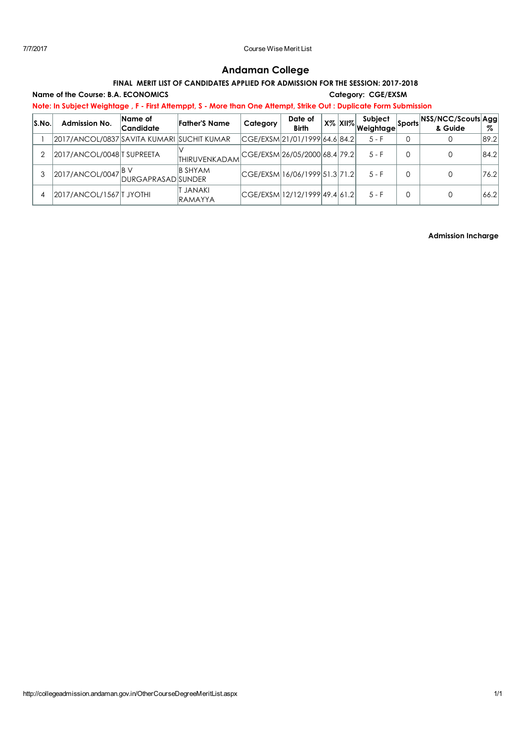## Andaman College

## FINAL MERIT LIST OF CANDIDATES APPLIED FOR ADMISSION FOR THE SESSION: 2017-2018

Name of the Course: B.A. ECONOMICS Category: CGE/EXSM Note: In Subject Weightage , F - First Attemppt, S - More than One Attempt, Strike Out : Duplicate Form Submission

| S.No. | <b>Admission No.</b>                                | Name of<br>Candidate | <b>Father's Name</b>       | Category | Date of<br><b>Birth</b>       |  | Subject<br>⊺x% <mark>XII%</mark> weightageା |   | Sports NSS/NCC/Scouts Agg<br>& Guide | %    |
|-------|-----------------------------------------------------|----------------------|----------------------------|----------|-------------------------------|--|---------------------------------------------|---|--------------------------------------|------|
|       | 2017/ANCOL/0837 SAVITA KUMARI  SUCHIT KUMAR         |                      |                            |          | CGE/EXSM 21/01/1999 64.6 84.2 |  | 5 - F                                       | 0 |                                      | 89.2 |
|       | 2017/ANCOL/0048 TSUPREETA                           |                      | THIRUVENKADAM              |          | CGE/EXSM 26/05/2000 68.4 79.2 |  | $5 - F$                                     | 0 |                                      | 84.2 |
|       | 2017/ANCOL/0047 <sup>BV</sup><br>DURGAPRASAD SUNDER |                      |                            |          | CGE/EXSM 16/06/1999 51.3 71.2 |  | $5 - F$                                     | 0 |                                      | 76.2 |
|       | 2017/ANCOL/1567   TJYOTHI                           |                      | T JANAKI<br><b>RAMAYYA</b> |          | CGE/EXSM 12/12/1999 49.4 61.2 |  | $5 - F$                                     | 0 |                                      | 66.2 |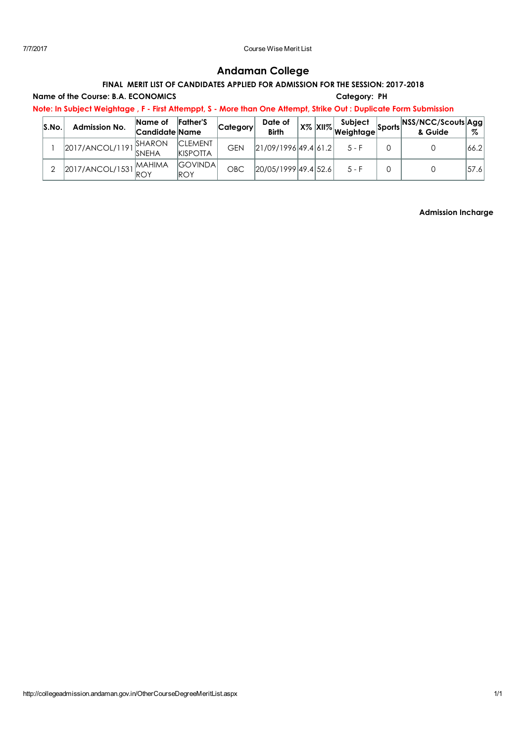# Andaman College

## FINAL MERIT LIST OF CANDIDATES APPLIED FOR ADMISSION FOR THE SESSION: 2017-2018

Name of the Course: B.A. ECONOMICS **Category: PH** 

Note: In Subject Weightage , F - First Attemppt, S - More than One Attempt, Strike Out : Duplicate Form Submission

| S.No | <b>Admission No.</b>   | Name of<br>Candidate Name | <b>Father's</b>                    | Category   | Date of<br><b>Birth</b> |  | Subject<br>- ∴ ∣x% XII% Weightage I | <b>Sports NSS/NCC/Scouts Agg.</b><br>& Guide | Z     |
|------|------------------------|---------------------------|------------------------------------|------------|-------------------------|--|-------------------------------------|----------------------------------------------|-------|
|      | 2017/ANCOL/1191        | SHARON<br><b>SNEHA</b>    | <b>ICLEMENT</b><br><b>KISPOTTA</b> | <b>GEN</b> | 21/09/1996 49.4 61.2    |  | $5 - F$                             |                                              | 66.21 |
|      | 2017/ANCOL/1531 MAHIMA |                           | <b>GOVINDA</b><br><b>ROY</b>       | OBC        | 20/05/1999 49.4 52.6    |  | $5 - F$                             |                                              | 57.6  |